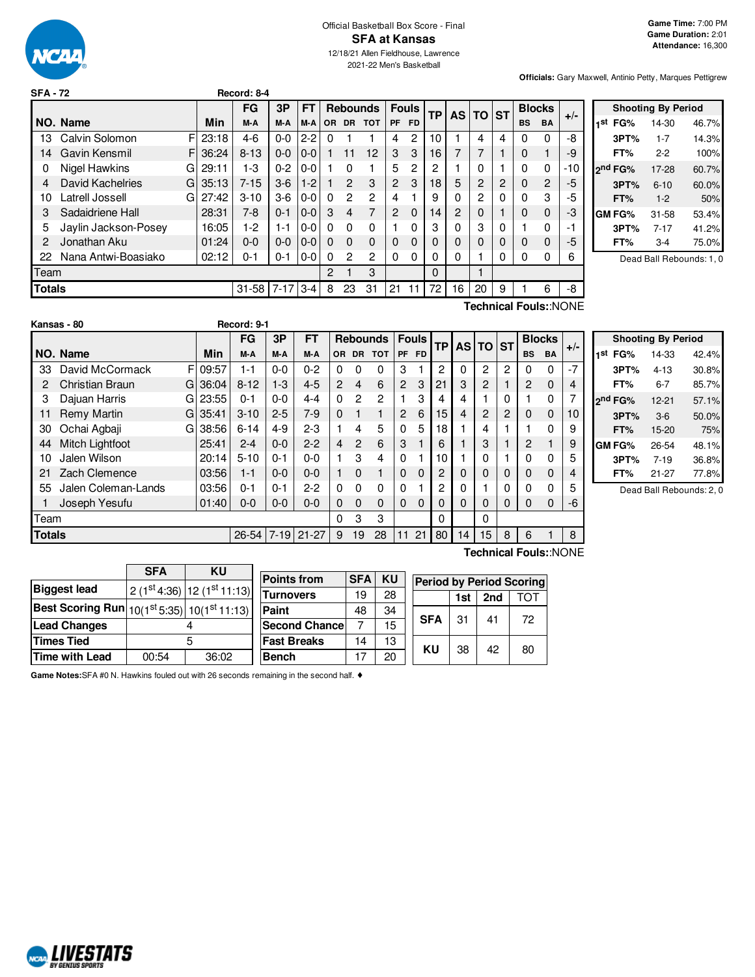

| <b>SFA - 72</b> |                         |     |            | Record: 8-4 |            |         |     |                |                 |                |              |           |          |       |   |              |                |                       |                |
|-----------------|-------------------------|-----|------------|-------------|------------|---------|-----|----------------|-----------------|----------------|--------------|-----------|----------|-------|---|--------------|----------------|-----------------------|----------------|
|                 |                         |     |            | FG          | 3P         | FT      |     |                | <b>Rebounds</b> |                | <b>Fouls</b> | <b>TP</b> | AS I     | TO ST |   |              | <b>Blocks</b>  |                       |                |
|                 | NO. Name                |     | <b>Min</b> | M-A         | M-A        | M-A     | OR. | <b>DR</b>      | <b>TOT</b>      | PF             | <b>FD</b>    |           |          |       |   | <b>BS</b>    | <b>BA</b>      | $+/-$                 | 1,             |
| 13              | Calvin Solomon          | FI  | 23:18      | $4-6$       | $0 - 0$    | $2 - 2$ | 0   |                |                 | 4              | 2            | 10        |          | 4     | 4 | 0            | 0              | -8                    |                |
| 14              | Gavin Kensmil           | FI. | 36:24      | $8 - 13$    | $0 - 0$    | $0 - 0$ |     | 11             | 12              | 3              | 3            | 16        |          |       |   | $\Omega$     |                | -9                    |                |
| 0               | Nigel Hawkins           | GI  | 29:11      | 1-3         | $0 - 2$    | $0 - 0$ |     | 0              |                 | 5              | 2            | 2         |          | 0     |   | 0            | 0              | $-10$                 | 2 <sup>1</sup> |
| 4               | <b>David Kachelries</b> | G.  | 35:13      | $7 - 15$    | $3-6$      | $1-2$   |     | $\mathbf{P}$   | 3               | $\overline{2}$ | 3            | 18        | 5        | 2     | 2 | $\mathbf{0}$ | $\overline{2}$ | -5                    |                |
| 10              | Latrell Jossell         | GI. | 27:42      | $3 - 10$    | $3-6$      | $0 - 0$ | 0   | $\overline{2}$ | $\overline{2}$  | 4              |              | 9         | 0        | 2     | 0 | 0            | 3              | -5                    |                |
| 3               | Sadaidriene Hall        |     | 28:31      | $7-8$       | $0 - 1$    | $0 - 0$ | 3   | 4              | 7               | 2              | $\Omega$     | 14        | 2        |       |   | $\Omega$     | $\Omega$       | -3                    | G              |
| 5               | Jaylin Jackson-Posey    |     | 16:05      | $1-2$       | $1 - 1$    | $0-0$   | 0   | $\Omega$       | 0               |                | 0            | 3         | $\Omega$ | 3     | 0 |              | $\mathbf 0$    | -1                    |                |
| 2               | Jonathan Aku            |     | 01:24      | $0 - 0$     | $0 - 0$    | $0-0$   | 0   | $\Omega$       | $\Omega$        | 0              | 0            |           |          |       | 0 | $\Omega$     | $\Omega$       | -5                    |                |
| 22              | Nana Antwi-Boasiako     |     | 02:12      | $0 - 1$     | $0 - 1$    | $0-0$   | 0   | 2              | $\overline{2}$  | $\Omega$       | 0            | ი         | $\Omega$ |       | 0 | 0            | 0              | 6                     |                |
| Team            |                         |     |            |             |            |         | 2   |                | 3               |                |              | $\Omega$  |          |       |   |              |                |                       |                |
| <b>Totals</b>   |                         |     |            | $31 - 58$   | $7-17$ 3-4 |         | 8   | 23             | 31              | 21             | 11           | 72        | 16       | 20    | 9 |              | 6              | -8                    |                |
|                 |                         |     |            |             |            |         |     |                |                 |                |              |           |          |       |   |              |                | Technical Fouls::NONE |                |

|     |                     | <b>Shooting By Period</b> |       |
|-----|---------------------|---------------------------|-------|
| 1st | FG%                 | 14-30                     | 46.7% |
|     | 3PT%                | $1 - 7$                   | 14.3% |
|     | FT%                 | $2-2$                     | 100%  |
|     | 2 <sup>nd</sup> FG% | 17-28                     | 60.7% |
|     | 3PT%                | $6 - 10$                  | 60.0% |
|     | FT%                 | $1 - 2$                   | 50%   |
|     | <b>GM FG%</b>       | $31 - 58$                 | 53.4% |
|     | 3PT%                | $7 - 17$                  | 41.2% |
|     | FT%                 | $3-4$                     | 75.0% |
|     |                     |                           | .     |

Dead Ball Rebounds: 1, 0

|               | Kansas - 80         |    |            | Record: 9-1    |         |           |                |                |                 |                |              |           |          |          |   |               |                       |       |
|---------------|---------------------|----|------------|----------------|---------|-----------|----------------|----------------|-----------------|----------------|--------------|-----------|----------|----------|---|---------------|-----------------------|-------|
|               |                     |    |            | FG             | 3P      | <b>FT</b> |                |                | <b>Rebounds</b> |                | <b>Fouls</b> | <b>TP</b> | AS I     | $TO$ ST  |   | <b>Blocks</b> |                       | $+/-$ |
|               | NO. Name            |    | <b>Min</b> | M-A            | M-A     | M-A       | OR.            | <b>DR</b>      | <b>TOT</b>      |                | PF FD        |           |          |          |   | <b>BS</b>     | <b>BA</b>             |       |
| 33            | David McCormack     | FI | 09:57      | 1-1            | $0 - 0$ | $0 - 2$   | 0              | $\Omega$       | 0               | 3              |              | 2         | 0        | 2        | 2 | 0             | 0                     | $-7$  |
| 2             | Christian Braun     | G  | 36:04      | $8 - 12$       | $1 - 3$ | $4 - 5$   | $\overline{2}$ | 4              | 6               | $\overline{2}$ | 3            | 21        | 3        | 2        |   | 2             | 0                     | 4     |
| 3             | Dajuan Harris       | GI | 23:55      | $0 - 1$        | $0 - 0$ | $4 - 4$   | $\Omega$       | 2              | 2               |                | 3            | 4         | 4        |          | 0 |               | 0                     |       |
| 11            | Remy Martin         | G  | 35:41      | $3 - 10$       | $2 - 5$ | $7-9$     | $\Omega$       |                |                 | 2              | 6            | 15        | 4        | 2        | 2 | 0             | 0                     | 10    |
| 30            | Ochai Agbaji        | G  | 38:56      | $6 - 14$       | $4 - 9$ | $2 - 3$   |                | 4              | 5               | 0              | 5            | 18        |          | 4        |   |               | 0                     | 9     |
| 44            | Mitch Lightfoot     |    | 25:41      | $2 - 4$        | $0 - 0$ | $2 - 2$   | 4              | $\overline{2}$ | 6               | 3              |              | 6         |          | 3        |   | 2             | $\mathbf{1}$          | 9     |
| 10            | Jalen Wilson        |    | 20:14      | $5 - 10$       | $0 - 1$ | $0-0$     |                | 3              | 4               | 0              |              | 10        |          | $\Omega$ |   | 0             | 0                     | 5     |
| 21            | Zach Clemence       |    | 03:56      | $1 - 1$        | $0-0$   | $0 - 0$   | 1              | $\mathbf 0$    |                 | $\mathbf 0$    | 0            | 2         | 0        | 0        | 0 | 0             | 0                     |       |
| 55            | Jalen Coleman-Lands |    | 03:56      | $0 - 1$        | $0 - 1$ | $2 - 2$   | 0              | 0              | 0               | 0              |              | 2         | 0        |          | 0 | 0             | 0                     | 5     |
|               | Joseph Yesufu       |    | 01:40      | $0 - 0$        | $0 - 0$ | $0 - 0$   | $\Omega$       | $\Omega$       | 0               | 0              | $\Omega$     | 0         | $\Omega$ | 0        | 0 | 0             | 0                     | -6    |
| Team          |                     |    |            |                |         |           | 0              | 3              | 3               |                |              | 0         |          | $\Omega$ |   |               |                       |       |
| <b>Totals</b> |                     |    |            | $26 - 54$ 7-19 |         | $21 - 27$ | 9              | 19             | 28              | 11             | 21           | 80        | 14       | 15       | 8 | 6             |                       | 8     |
|               |                     |    |            |                |         |           |                |                |                 |                |              |           |          |          |   |               | Technical Fouls::NONE |       |

|                     | <b>Shooting By Period</b> |       |
|---------------------|---------------------------|-------|
| 1 <sup>st</sup> FG% | 14-33                     | 42.4% |
| 3PT%                | $4 - 13$                  | 30.8% |
| FT%                 | 6-7                       | 85.7% |
| 2nd FG%             | 12-21                     | 57.1% |
| 3PT%                | $3-6$                     | 50.0% |
| FT%                 | 15-20                     | 75%   |
| GM FG%              | 26-54                     | 48.1% |
| 3PT%                | $7-19$                    | 36.8% |
| FT%                 | 21-27                     | 77.8% |

Dead Ball Rebounds: 2, 0

|       |            | <b>Points from</b> |                                                                                                                                                            |                                   |                                 |                  |                 |                                                    |
|-------|------------|--------------------|------------------------------------------------------------------------------------------------------------------------------------------------------------|-----------------------------------|---------------------------------|------------------|-----------------|----------------------------------------------------|
|       |            |                    |                                                                                                                                                            |                                   |                                 |                  |                 | TOT                                                |
|       |            |                    |                                                                                                                                                            |                                   |                                 |                  |                 |                                                    |
|       |            |                    |                                                                                                                                                            |                                   |                                 |                  |                 | 72                                                 |
|       | 4          |                    |                                                                                                                                                            |                                   |                                 |                  |                 |                                                    |
|       |            | <b>Fast Breaks</b> | 14                                                                                                                                                         | 13                                |                                 |                  |                 | 80                                                 |
| 00:54 | 36:02      | <b>Bench</b>       | 17                                                                                                                                                         | 20                                |                                 |                  |                 |                                                    |
|       | <b>SFA</b> | ΚU                 | $2(1st4:36)$ 12 (1 <sup>st</sup> 11:13)<br><b>Turnovers</b><br>Best Scoring Run $\left  10(1^\text{st}5.35) \right  10(1^\text{st}11.13) \right $<br>Paint | 19<br>48<br><b>Second Chancel</b> | <b>SFA KU</b><br>28<br>34<br>15 | <b>SFA</b><br>KU | 1st<br>31<br>38 | <b>Period by Period Scoring</b><br>2nd<br>41<br>42 |

 $\overline{\phantom{0}}$ 

**Game Notes:**SFA #0 N. Hawkins fouled out with 26 seconds remaining in the second half. ♦

г

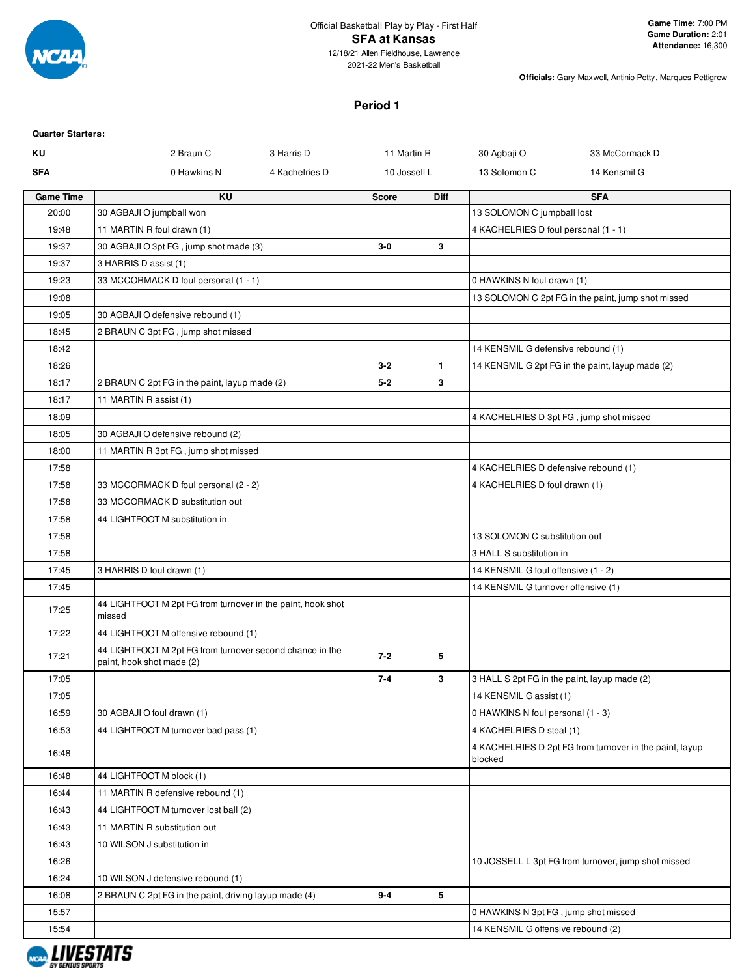

2021-22 Men's Basketball

**Officials:** Gary Maxwell, Antinio Petty, Marques Pettigrew

# **Period 1**

| <b>Quarter Starters:</b> |                                                                                       |                |              |              |                                              |                                                         |
|--------------------------|---------------------------------------------------------------------------------------|----------------|--------------|--------------|----------------------------------------------|---------------------------------------------------------|
| ΚU                       | 2 Braun C                                                                             | 3 Harris D     | 11 Martin R  |              | 30 Agbaji O                                  | 33 McCormack D                                          |
| <b>SFA</b>               | 0 Hawkins N                                                                           | 4 Kachelries D | 10 Jossell L |              | 13 Solomon C                                 | 14 Kensmil G                                            |
| <b>Game Time</b>         | KU                                                                                    |                | <b>Score</b> | <b>Diff</b>  |                                              | <b>SFA</b>                                              |
| 20:00                    | 30 AGBAJI O jumpball won                                                              |                |              |              | 13 SOLOMON C jumpball lost                   |                                                         |
| 19:48                    | 11 MARTIN R foul drawn (1)                                                            |                |              |              | 4 KACHELRIES D foul personal (1 - 1)         |                                                         |
| 19:37                    | 30 AGBAJI O 3pt FG, jump shot made (3)                                                |                | $3-0$        | 3            |                                              |                                                         |
| 19:37                    | 3 HARRIS D assist (1)                                                                 |                |              |              |                                              |                                                         |
| 19:23                    | 33 MCCORMACK D foul personal (1 - 1)                                                  |                |              |              | 0 HAWKINS N foul drawn (1)                   |                                                         |
| 19:08                    |                                                                                       |                |              |              |                                              | 13 SOLOMON C 2pt FG in the paint, jump shot missed      |
| 19:05                    | 30 AGBAJI O defensive rebound (1)                                                     |                |              |              |                                              |                                                         |
| 18:45                    | 2 BRAUN C 3pt FG, jump shot missed                                                    |                |              |              |                                              |                                                         |
| 18:42                    |                                                                                       |                |              |              | 14 KENSMIL G defensive rebound (1)           |                                                         |
| 18:26                    |                                                                                       |                | $3 - 2$      | $\mathbf{1}$ |                                              | 14 KENSMIL G 2pt FG in the paint, layup made (2)        |
| 18:17                    | 2 BRAUN C 2pt FG in the paint, layup made (2)                                         |                | $5 - 2$      | 3            |                                              |                                                         |
| 18:17                    | 11 MARTIN R assist (1)                                                                |                |              |              |                                              |                                                         |
| 18:09                    |                                                                                       |                |              |              | 4 KACHELRIES D 3pt FG, jump shot missed      |                                                         |
| 18:05                    | 30 AGBAJI O defensive rebound (2)                                                     |                |              |              |                                              |                                                         |
| 18:00                    | 11 MARTIN R 3pt FG, jump shot missed                                                  |                |              |              |                                              |                                                         |
| 17:58                    |                                                                                       |                |              |              | 4 KACHELRIES D defensive rebound (1)         |                                                         |
| 17:58                    | 33 MCCORMACK D foul personal (2 - 2)                                                  |                |              |              | 4 KACHELRIES D foul drawn (1)                |                                                         |
| 17:58                    | 33 MCCORMACK D substitution out                                                       |                |              |              |                                              |                                                         |
| 17:58                    | 44 LIGHTFOOT M substitution in                                                        |                |              |              |                                              |                                                         |
| 17:58                    |                                                                                       |                |              |              | 13 SOLOMON C substitution out                |                                                         |
| 17:58                    |                                                                                       |                |              |              | 3 HALL S substitution in                     |                                                         |
| 17:45                    | 3 HARRIS D foul drawn (1)                                                             |                |              |              | 14 KENSMIL G foul offensive (1 - 2)          |                                                         |
| 17:45                    |                                                                                       |                |              |              | 14 KENSMIL G turnover offensive (1)          |                                                         |
| 17:25                    | 44 LIGHTFOOT M 2pt FG from turnover in the paint, hook shot<br>missed                 |                |              |              |                                              |                                                         |
| 17:22                    | 44 LIGHTFOOT M offensive rebound (1)                                                  |                |              |              |                                              |                                                         |
| 17:21                    | 44 LIGHTFOOT M 2pt FG from turnover second chance in the<br>paint, hook shot made (2) |                | $7 - 2$      | 5            |                                              |                                                         |
| 17:05                    |                                                                                       |                | $7-4$        | 3            | 3 HALL S 2pt FG in the paint, layup made (2) |                                                         |
| 17:05                    |                                                                                       |                |              |              | 14 KENSMIL G assist (1)                      |                                                         |
| 16:59                    | 30 AGBAJI O foul drawn (1)                                                            |                |              |              | 0 HAWKINS N foul personal (1 - 3)            |                                                         |
| 16:53                    | 44 LIGHTFOOT M turnover bad pass (1)                                                  |                |              |              | 4 KACHELRIES D steal (1)                     |                                                         |
| 16:48                    |                                                                                       |                |              |              | blocked                                      | 4 KACHELRIES D 2pt FG from turnover in the paint, layup |
| 16:48                    | 44 LIGHTFOOT M block (1)                                                              |                |              |              |                                              |                                                         |
| 16:44                    | 11 MARTIN R defensive rebound (1)                                                     |                |              |              |                                              |                                                         |
| 16:43                    | 44 LIGHTFOOT M turnover lost ball (2)                                                 |                |              |              |                                              |                                                         |
| 16:43                    | 11 MARTIN R substitution out                                                          |                |              |              |                                              |                                                         |
| 16:43                    | 10 WILSON J substitution in                                                           |                |              |              |                                              |                                                         |
| 16:26                    |                                                                                       |                |              |              |                                              | 10 JOSSELL L 3pt FG from turnover, jump shot missed     |
| 16:24                    | 10 WILSON J defensive rebound (1)                                                     |                |              |              |                                              |                                                         |
| 16:08                    | 2 BRAUN C 2pt FG in the paint, driving layup made (4)                                 |                | $9-4$        | 5            |                                              |                                                         |
| 15:57                    |                                                                                       |                |              |              | 0 HAWKINS N 3pt FG, jump shot missed         |                                                         |
| 15:54                    |                                                                                       |                |              |              | 14 KENSMIL G offensive rebound (2)           |                                                         |

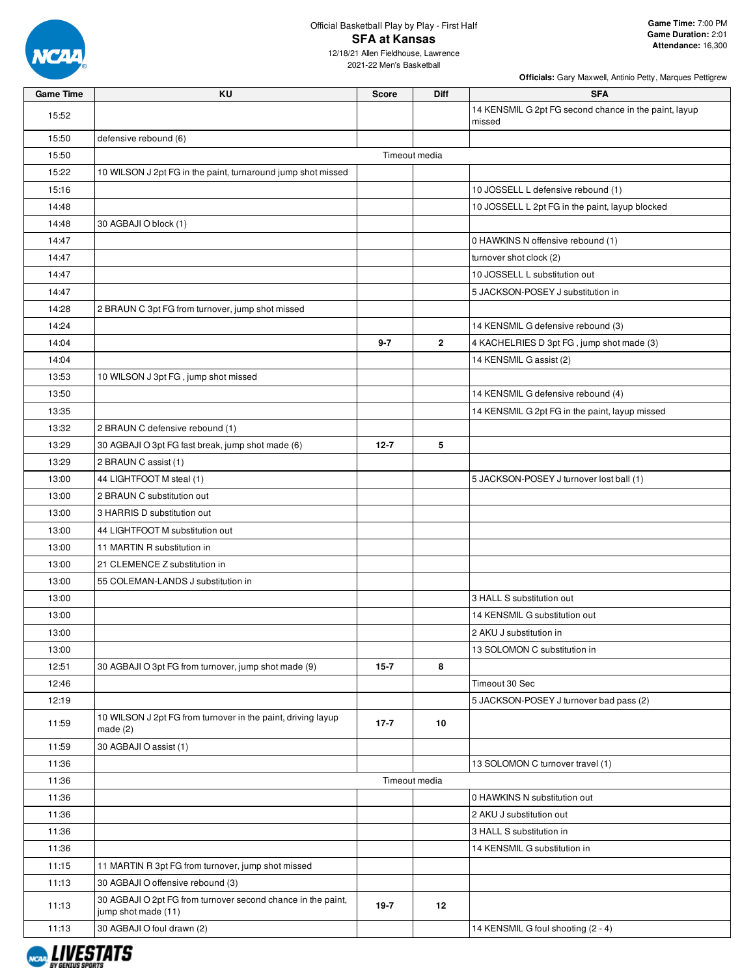

# Official Basketball Play by Play - First Half **SFA at Kansas**

12/18/21 Allen Fieldhouse, Lawrence 2021-22 Men's Basketball

| <b>Game Time</b> | KU                                                                                  | <b>Score</b>  | <b>Diff</b>  | <b>SFA</b>                                                      |
|------------------|-------------------------------------------------------------------------------------|---------------|--------------|-----------------------------------------------------------------|
| 15:52            |                                                                                     |               |              | 14 KENSMIL G 2pt FG second chance in the paint, layup<br>missed |
| 15:50            | defensive rebound (6)                                                               |               |              |                                                                 |
| 15:50            |                                                                                     | Timeout media |              |                                                                 |
| 15:22            | 10 WILSON J 2pt FG in the paint, turnaround jump shot missed                        |               |              |                                                                 |
| 15:16            |                                                                                     |               |              | 10 JOSSELL L defensive rebound (1)                              |
| 14:48            |                                                                                     |               |              | 10 JOSSELL L 2pt FG in the paint, layup blocked                 |
| 14:48            | 30 AGBAJI O block (1)                                                               |               |              |                                                                 |
| 14:47            |                                                                                     |               |              | 0 HAWKINS N offensive rebound (1)                               |
| 14:47            |                                                                                     |               |              | turnover shot clock (2)                                         |
| 14:47            |                                                                                     |               |              | 10 JOSSELL L substitution out                                   |
| 14:47            |                                                                                     |               |              | 5 JACKSON-POSEY J substitution in                               |
| 14:28            | 2 BRAUN C 3pt FG from turnover, jump shot missed                                    |               |              |                                                                 |
| 14:24            |                                                                                     |               |              | 14 KENSMIL G defensive rebound (3)                              |
| 14:04            |                                                                                     | $9 - 7$       | $\mathbf{2}$ | 4 KACHELRIES D 3pt FG, jump shot made (3)                       |
| 14:04            |                                                                                     |               |              | 14 KENSMIL G assist (2)                                         |
| 13:53            | 10 WILSON J 3pt FG, jump shot missed                                                |               |              |                                                                 |
| 13:50            |                                                                                     |               |              | 14 KENSMIL G defensive rebound (4)                              |
| 13:35            |                                                                                     |               |              | 14 KENSMIL G 2pt FG in the paint, layup missed                  |
| 13:32            | 2 BRAUN C defensive rebound (1)                                                     |               |              |                                                                 |
| 13:29            | 30 AGBAJI O 3pt FG fast break, jump shot made (6)                                   | $12 - 7$      | 5            |                                                                 |
| 13:29            | 2 BRAUN C assist (1)                                                                |               |              |                                                                 |
| 13:00            | 44 LIGHTFOOT M steal (1)                                                            |               |              | 5 JACKSON-POSEY J turnover lost ball (1)                        |
| 13:00            | 2 BRAUN C substitution out                                                          |               |              |                                                                 |
| 13:00            | 3 HARRIS D substitution out                                                         |               |              |                                                                 |
| 13:00            | 44 LIGHTFOOT M substitution out                                                     |               |              |                                                                 |
| 13:00            | 11 MARTIN R substitution in                                                         |               |              |                                                                 |
| 13:00            | 21 CLEMENCE Z substitution in                                                       |               |              |                                                                 |
| 13:00            | 55 COLEMAN-LANDS J substitution in                                                  |               |              |                                                                 |
| 13:00            |                                                                                     |               |              | 3 HALL S substitution out                                       |
| 13:00            |                                                                                     |               |              | 14 KENSMIL G substitution out                                   |
| 13:00            |                                                                                     |               |              | 2 AKU J substitution in                                         |
| 13:00            |                                                                                     |               |              | 13 SOLOMON C substitution in                                    |
| 12:51            | 30 AGBAJI O 3pt FG from turnover, jump shot made (9)                                | $15 - 7$      | 8            |                                                                 |
| 12:46            |                                                                                     |               |              | Timeout 30 Sec                                                  |
| 12:19            |                                                                                     |               |              | 5 JACKSON-POSEY J turnover bad pass (2)                         |
| 11:59            | 10 WILSON J 2pt FG from turnover in the paint, driving layup<br>made $(2)$          | $17 - 7$      | 10           |                                                                 |
| 11:59            | 30 AGBAJI O assist (1)                                                              |               |              |                                                                 |
| 11:36            |                                                                                     |               |              | 13 SOLOMON C turnover travel (1)                                |
| 11:36            |                                                                                     | Timeout media |              |                                                                 |
| 11:36            |                                                                                     |               |              | 0 HAWKINS N substitution out                                    |
| 11:36            |                                                                                     |               |              | 2 AKU J substitution out                                        |
| 11:36            |                                                                                     |               |              | 3 HALL S substitution in                                        |
| 11:36            |                                                                                     |               |              | 14 KENSMIL G substitution in                                    |
| 11:15            | 11 MARTIN R 3pt FG from turnover, jump shot missed                                  |               |              |                                                                 |
| 11:13            | 30 AGBAJI O offensive rebound (3)                                                   |               |              |                                                                 |
| 11:13            | 30 AGBAJI O 2pt FG from turnover second chance in the paint,<br>jump shot made (11) | $19-7$        | 12           |                                                                 |
| 11:13            | 30 AGBAJI O foul drawn (2)                                                          |               |              | 14 KENSMIL G foul shooting (2 - 4)                              |

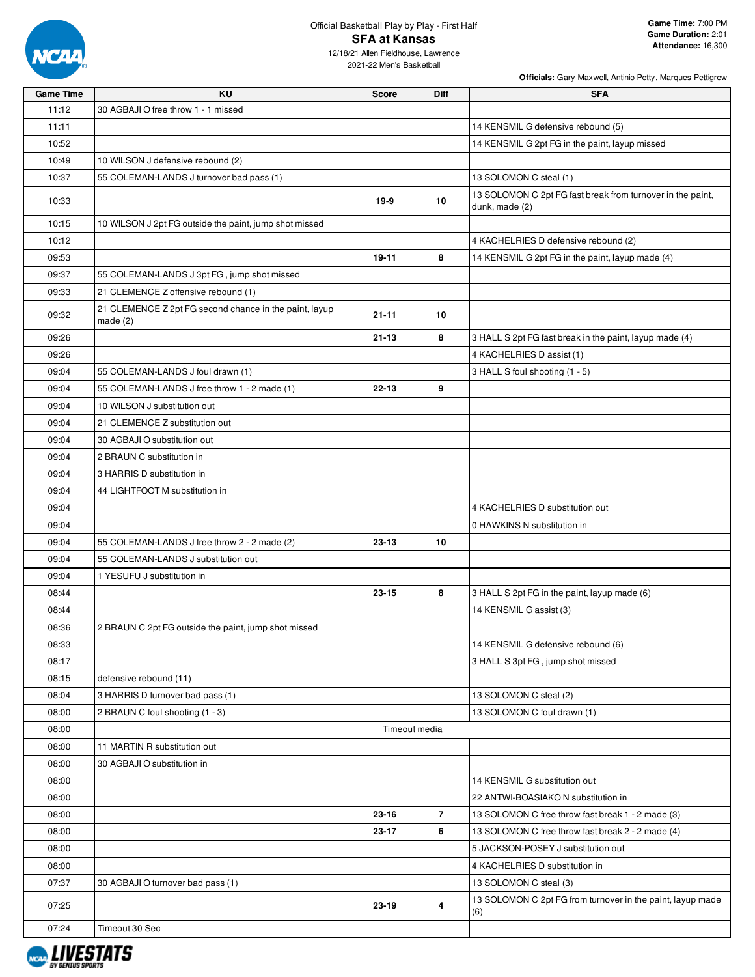

12/18/21 Allen Fieldhouse, Lawrence 2021-22 Men's Basketball

| <b>Game Time</b> | KU                                                                   | <b>Score</b>  | Diff           | <b>SFA</b>                                                                   |
|------------------|----------------------------------------------------------------------|---------------|----------------|------------------------------------------------------------------------------|
| 11:12            | 30 AGBAJI O free throw 1 - 1 missed                                  |               |                |                                                                              |
| 11:11            |                                                                      |               |                | 14 KENSMIL G defensive rebound (5)                                           |
| 10:52            |                                                                      |               |                | 14 KENSMIL G 2pt FG in the paint, layup missed                               |
| 10:49            | 10 WILSON J defensive rebound (2)                                    |               |                |                                                                              |
| 10:37            | 55 COLEMAN-LANDS J turnover bad pass (1)                             |               |                | 13 SOLOMON C steal (1)                                                       |
| 10:33            |                                                                      | 19-9          | 10             | 13 SOLOMON C 2pt FG fast break from turnover in the paint,<br>dunk, made (2) |
| 10:15            | 10 WILSON J 2pt FG outside the paint, jump shot missed               |               |                |                                                                              |
| 10:12            |                                                                      |               |                | 4 KACHELRIES D defensive rebound (2)                                         |
| 09:53            |                                                                      | 19-11         | 8              | 14 KENSMIL G 2pt FG in the paint, layup made (4)                             |
| 09:37            | 55 COLEMAN-LANDS J 3pt FG, jump shot missed                          |               |                |                                                                              |
| 09:33            | 21 CLEMENCE Z offensive rebound (1)                                  |               |                |                                                                              |
| 09:32            | 21 CLEMENCE Z 2pt FG second chance in the paint, layup<br>made $(2)$ | $21 - 11$     | 10             |                                                                              |
| 09:26            |                                                                      | $21 - 13$     | 8              | 3 HALL S 2pt FG fast break in the paint, layup made (4)                      |
| 09:26            |                                                                      |               |                | 4 KACHELRIES D assist (1)                                                    |
| 09:04            | 55 COLEMAN-LANDS J foul drawn (1)                                    |               |                | 3 HALL S foul shooting (1 - 5)                                               |
| 09:04            | 55 COLEMAN-LANDS J free throw 1 - 2 made (1)                         | $22 - 13$     | 9              |                                                                              |
| 09:04            | 10 WILSON J substitution out                                         |               |                |                                                                              |
| 09:04            | 21 CLEMENCE Z substitution out                                       |               |                |                                                                              |
| 09:04            | 30 AGBAJI O substitution out                                         |               |                |                                                                              |
| 09:04            | 2 BRAUN C substitution in                                            |               |                |                                                                              |
| 09:04            | 3 HARRIS D substitution in                                           |               |                |                                                                              |
| 09:04            | 44 LIGHTFOOT M substitution in                                       |               |                |                                                                              |
| 09:04            |                                                                      |               |                | 4 KACHELRIES D substitution out                                              |
| 09:04            |                                                                      |               |                | 0 HAWKINS N substitution in                                                  |
| 09:04            | 55 COLEMAN-LANDS J free throw 2 - 2 made (2)                         | 23-13         | 10             |                                                                              |
| 09:04            | 55 COLEMAN-LANDS J substitution out                                  |               |                |                                                                              |
| 09:04            | 1 YESUFU J substitution in                                           |               |                |                                                                              |
| 08:44            |                                                                      | $23 - 15$     | 8              | 3 HALL S 2pt FG in the paint, layup made (6)                                 |
| 08:44            |                                                                      |               |                | 14 KENSMIL G assist (3)                                                      |
| 08:36            | 2 BRAUN C 2pt FG outside the paint, jump shot missed                 |               |                |                                                                              |
| 08:33            |                                                                      |               |                | 14 KENSMIL G defensive rebound (6)                                           |
| 08:17            |                                                                      |               |                | 3 HALL S 3pt FG, jump shot missed                                            |
| 08:15            | defensive rebound (11)                                               |               |                |                                                                              |
| 08:04            | 3 HARRIS D turnover bad pass (1)                                     |               |                | 13 SOLOMON C steal (2)                                                       |
| 08:00            | 2 BRAUN C foul shooting (1 - 3)                                      |               |                | 13 SOLOMON C foul drawn (1)                                                  |
| 08:00            |                                                                      | Timeout media |                |                                                                              |
| 08:00            | 11 MARTIN R substitution out                                         |               |                |                                                                              |
| 08:00            | 30 AGBAJI O substitution in                                          |               |                |                                                                              |
| 08:00            |                                                                      |               |                | 14 KENSMIL G substitution out                                                |
| 08:00            |                                                                      |               |                | 22 ANTWI-BOASIAKO N substitution in                                          |
| 08:00            |                                                                      | 23-16         | $\overline{7}$ | 13 SOLOMON C free throw fast break 1 - 2 made (3)                            |
| 08:00            |                                                                      | $23 - 17$     | 6              | 13 SOLOMON C free throw fast break 2 - 2 made (4)                            |
| 08:00            |                                                                      |               |                | 5 JACKSON-POSEY J substitution out                                           |
| 08:00            |                                                                      |               |                | 4 KACHELRIES D substitution in                                               |
| 07:37            | 30 AGBAJI O turnover bad pass (1)                                    |               |                | 13 SOLOMON C steal (3)                                                       |
|                  |                                                                      |               |                | 13 SOLOMON C 2pt FG from turnover in the paint, layup made                   |
| 07:25            |                                                                      | 23-19         | 4              | (6)                                                                          |
| 07:24            | Timeout 30 Sec                                                       |               |                |                                                                              |

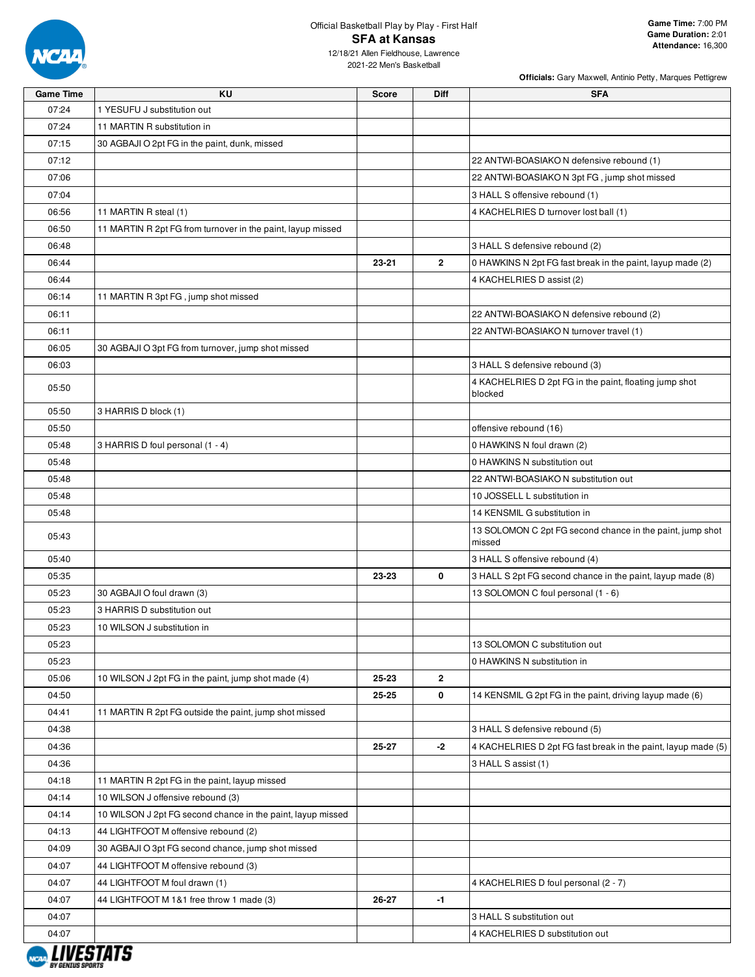

2021-22 Men's Basketball

| <b>Game Time</b> | <b>KU</b>                                                   | Score | <b>Diff</b>  | <b>SFA</b>                                                          |
|------------------|-------------------------------------------------------------|-------|--------------|---------------------------------------------------------------------|
| 07:24            | 1 YESUFU J substitution out                                 |       |              |                                                                     |
| 07:24            | 11 MARTIN R substitution in                                 |       |              |                                                                     |
| 07:15            | 30 AGBAJI O 2pt FG in the paint, dunk, missed               |       |              |                                                                     |
| 07:12            |                                                             |       |              | 22 ANTWI-BOASIAKO N defensive rebound (1)                           |
| 07:06            |                                                             |       |              | 22 ANTWI-BOASIAKO N 3pt FG, jump shot missed                        |
| 07:04            |                                                             |       |              | 3 HALL S offensive rebound (1)                                      |
| 06:56            | 11 MARTIN R steal (1)                                       |       |              | 4 KACHELRIES D turnover lost ball (1)                               |
| 06:50            | 11 MARTIN R 2pt FG from turnover in the paint, layup missed |       |              |                                                                     |
| 06:48            |                                                             |       |              | 3 HALL S defensive rebound (2)                                      |
| 06:44            |                                                             | 23-21 | $\mathbf{2}$ | 0 HAWKINS N 2pt FG fast break in the paint, layup made (2)          |
| 06:44            |                                                             |       |              | 4 KACHELRIES D assist (2)                                           |
| 06:14            | 11 MARTIN R 3pt FG, jump shot missed                        |       |              |                                                                     |
| 06:11            |                                                             |       |              | 22 ANTWI-BOASIAKO N defensive rebound (2)                           |
| 06:11            |                                                             |       |              | 22 ANTWI-BOASIAKO N turnover travel (1)                             |
| 06:05            | 30 AGBAJI O 3pt FG from turnover, jump shot missed          |       |              |                                                                     |
| 06:03            |                                                             |       |              | 3 HALL S defensive rebound (3)                                      |
|                  |                                                             |       |              | 4 KACHELRIES D 2pt FG in the paint, floating jump shot              |
| 05:50            |                                                             |       |              | blocked                                                             |
| 05:50            | 3 HARRIS D block (1)                                        |       |              |                                                                     |
| 05:50            |                                                             |       |              | offensive rebound (16)                                              |
| 05:48            | 3 HARRIS D foul personal (1 - 4)                            |       |              | 0 HAWKINS N foul drawn (2)                                          |
| 05:48            |                                                             |       |              | 0 HAWKINS N substitution out                                        |
| 05:48            |                                                             |       |              | 22 ANTWI-BOASIAKO N substitution out                                |
| 05:48            |                                                             |       |              | 10 JOSSELL L substitution in                                        |
| 05:48            |                                                             |       |              | 14 KENSMIL G substitution in                                        |
| 05:43            |                                                             |       |              | 13 SOLOMON C 2pt FG second chance in the paint, jump shot<br>missed |
| 05:40            |                                                             |       |              | 3 HALL S offensive rebound (4)                                      |
| 05:35            |                                                             | 23-23 | 0            | 3 HALL S 2pt FG second chance in the paint, layup made (8)          |
| 05:23            | 30 AGBAJI O foul drawn (3)                                  |       |              | 13 SOLOMON C foul personal (1 - 6)                                  |
| 05:23            | 3 HARRIS D substitution out                                 |       |              |                                                                     |
| 05:23            | 10 WILSON J substitution in                                 |       |              |                                                                     |
| 05:23            |                                                             |       |              | 13 SOLOMON C substitution out                                       |
| 05:23            |                                                             |       |              | 0 HAWKINS N substitution in                                         |
| 05:06            | 10 WILSON J 2pt FG in the paint, jump shot made (4)         | 25-23 | $\mathbf{2}$ |                                                                     |
| 04:50            |                                                             | 25-25 | 0            | 14 KENSMIL G 2pt FG in the paint, driving layup made (6)            |
| 04:41            | 11 MARTIN R 2pt FG outside the paint, jump shot missed      |       |              |                                                                     |
| 04:38            |                                                             |       |              | 3 HALL S defensive rebound (5)                                      |
| 04:36            |                                                             | 25-27 | -2           | 4 KACHELRIES D 2pt FG fast break in the paint, layup made (5)       |
| 04:36            |                                                             |       |              | 3 HALL S assist (1)                                                 |
| 04:18            | 11 MARTIN R 2pt FG in the paint, layup missed               |       |              |                                                                     |
| 04:14            | 10 WILSON J offensive rebound (3)                           |       |              |                                                                     |
| 04:14            | 10 WILSON J 2pt FG second chance in the paint, layup missed |       |              |                                                                     |
| 04:13            | 44 LIGHTFOOT M offensive rebound (2)                        |       |              |                                                                     |
| 04:09            | 30 AGBAJI O 3pt FG second chance, jump shot missed          |       |              |                                                                     |
| 04:07            | 44 LIGHTFOOT M offensive rebound (3)                        |       |              |                                                                     |
| 04:07            | 44 LIGHTFOOT M foul drawn (1)                               |       |              | 4 KACHELRIES D foul personal (2 - 7)                                |
| 04:07            | 44 LIGHTFOOT M 1&1 free throw 1 made (3)                    | 26-27 | $-1$         |                                                                     |
| 04:07            |                                                             |       |              | 3 HALL S substitution out                                           |
| 04:07            |                                                             |       |              | 4 KACHELRIES D substitution out                                     |
|                  |                                                             |       |              |                                                                     |

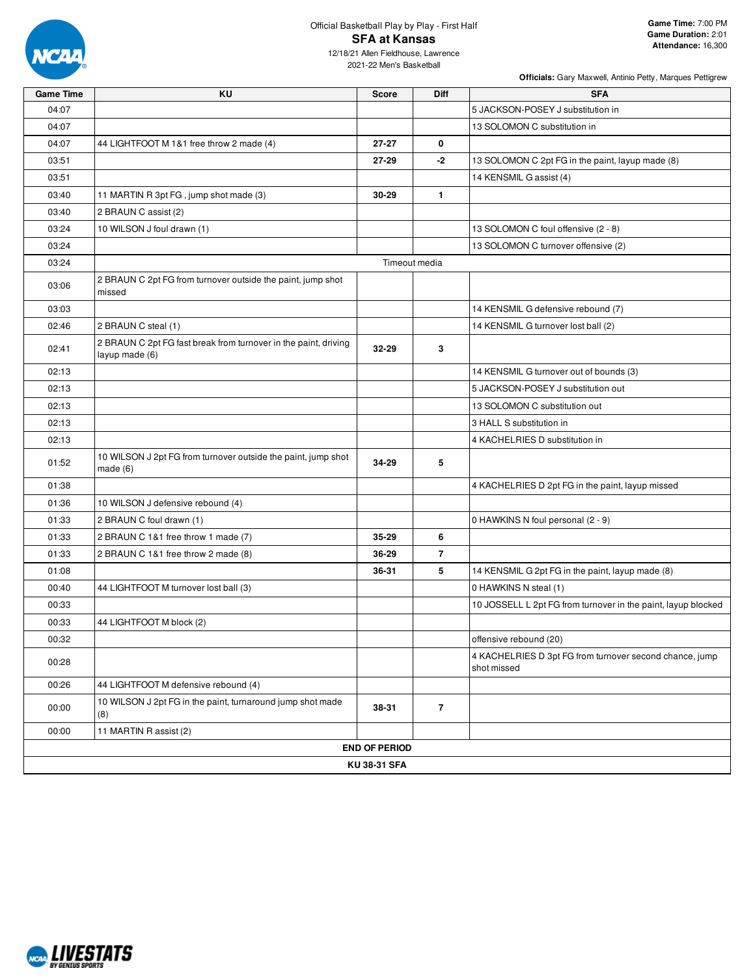

## Official Basketball Play by Play - First Half **SFA at Kansas** 12/18/21 Allen Fieldhouse, Lawrence

2021-22 Men's Basketball

| <b>Game Time</b> | <b>KU</b>                                                                         | <b>Score</b>         | Diff           | <b>SFA</b>                                                             |
|------------------|-----------------------------------------------------------------------------------|----------------------|----------------|------------------------------------------------------------------------|
| 04:07            |                                                                                   |                      |                | 5 JACKSON-POSEY J substitution in                                      |
| 04:07            |                                                                                   |                      |                | 13 SOLOMON C substitution in                                           |
| 04:07            | 44 LIGHTFOOT M 1&1 free throw 2 made (4)                                          | 27-27                | 0              |                                                                        |
| 03:51            |                                                                                   | 27-29                | -2             | 13 SOLOMON C 2pt FG in the paint, layup made (8)                       |
| 03:51            |                                                                                   |                      |                | 14 KENSMIL G assist (4)                                                |
| 03:40            | 11 MARTIN R 3pt FG, jump shot made (3)                                            | 30-29                | $\mathbf{1}$   |                                                                        |
| 03:40            | 2 BRAUN C assist (2)                                                              |                      |                |                                                                        |
| 03:24            | 10 WILSON J foul drawn (1)                                                        |                      |                | 13 SOLOMON C foul offensive (2 - 8)                                    |
| 03:24            |                                                                                   |                      |                | 13 SOLOMON C turnover offensive (2)                                    |
| 03:24            |                                                                                   | Timeout media        |                |                                                                        |
| 03:06            | 2 BRAUN C 2pt FG from turnover outside the paint, jump shot<br>missed             |                      |                |                                                                        |
| 03:03            |                                                                                   |                      |                | 14 KENSMIL G defensive rebound (7)                                     |
| 02:46            | 2 BRAUN C steal (1)                                                               |                      |                | 14 KENSMIL G turnover lost ball (2)                                    |
| 02:41            | 2 BRAUN C 2pt FG fast break from turnover in the paint, driving<br>layup made (6) | 32-29                | 3              |                                                                        |
| 02:13            |                                                                                   |                      |                | 14 KENSMIL G turnover out of bounds (3)                                |
| 02:13            |                                                                                   |                      |                | 5 JACKSON-POSEY J substitution out                                     |
| 02:13            |                                                                                   |                      |                | 13 SOLOMON C substitution out                                          |
| 02:13            |                                                                                   |                      |                | 3 HALL S substitution in                                               |
| 02:13            |                                                                                   |                      |                | 4 KACHELRIES D substitution in                                         |
| 01:52            | 10 WILSON J 2pt FG from turnover outside the paint, jump shot<br>made $(6)$       | 34-29                | 5              |                                                                        |
| 01:38            |                                                                                   |                      |                | 4 KACHELRIES D 2pt FG in the paint, layup missed                       |
| 01:36            | 10 WILSON J defensive rebound (4)                                                 |                      |                |                                                                        |
| 01:33            | 2 BRAUN C foul drawn (1)                                                          |                      |                | 0 HAWKINS N foul personal (2 - 9)                                      |
| 01:33            | 2 BRAUN C 1&1 free throw 1 made (7)                                               | 35-29                | 6              |                                                                        |
| 01:33            | 2 BRAUN C 1&1 free throw 2 made (8)                                               | 36-29                | $\overline{7}$ |                                                                        |
| 01:08            |                                                                                   | 36-31                | 5              | 14 KENSMIL G 2pt FG in the paint, layup made (8)                       |
| 00:40            | 44 LIGHTFOOT M turnover lost ball (3)                                             |                      |                | 0 HAWKINS N steal (1)                                                  |
| 00:33            |                                                                                   |                      |                | 10 JOSSELL L 2pt FG from turnover in the paint, layup blocked          |
| 00:33            | 44 LIGHTFOOT M block (2)                                                          |                      |                |                                                                        |
| 00:32            |                                                                                   |                      |                | offensive rebound (20)                                                 |
| 00:28            |                                                                                   |                      |                | 4 KACHELRIES D 3pt FG from turnover second chance, jump<br>shot missed |
| 00:26            | 44 LIGHTFOOT M defensive rebound (4)                                              |                      |                |                                                                        |
| 00:00            | 10 WILSON J 2pt FG in the paint, turnaround jump shot made<br>(8)                 | 38-31                | $\overline{7}$ |                                                                        |
| 00:00            | 11 MARTIN R assist (2)                                                            |                      |                |                                                                        |
|                  |                                                                                   | <b>END OF PERIOD</b> |                |                                                                        |
|                  |                                                                                   | KU 38-31 SFA         |                |                                                                        |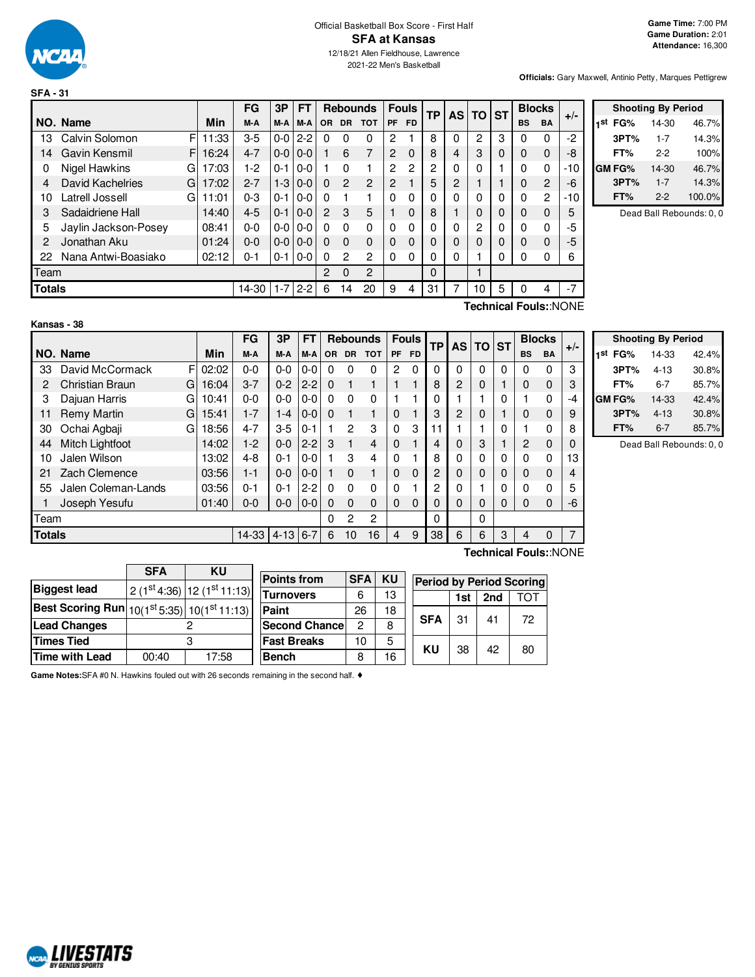

## Official Basketball Box Score - First Half **SFA at Kansas** 12/18/21 Allen Fieldhouse, Lawrence

2021-22 Men's Basketball

**Game Time:** 7:00 PM **Game Duration:** 2:01 **Attendance:** 16,300

**Officials:** Gary Maxwell, Antinio Petty, Marques Pettigrew

|               |                       |       | FG      | 3P      | FΤ      |     |                | <b>Rebounds</b> |                | <b>Fouls</b>   | <b>TP</b> | <b>AS</b> | <b>TO</b> | <b>ST</b> |           | <b>Blocks</b>  | $+/-$ |
|---------------|-----------------------|-------|---------|---------|---------|-----|----------------|-----------------|----------------|----------------|-----------|-----------|-----------|-----------|-----------|----------------|-------|
|               | NO. Name              | Min   | M-A     | M-A     | M-A     | OR. | <b>DR</b>      | <b>TOT</b>      | <b>PF</b>      | FD.            |           |           |           |           | <b>BS</b> | <b>BA</b>      |       |
| 13            | Calvin Solomon<br>F   | 11:33 | $3-5$   | $0 - 0$ | $2 - 2$ | 0   |                | 0               | 2              |                | 8         | 0         | 2         | 3         |           | $\Omega$       | $-2$  |
| 14            | Gavin Kensmil<br>FI   | 16:24 | $4 - 7$ | $0 - 0$ | $0 - 0$ |     | 6              | 7               | 2              | $\Omega$       | 8         | 4         | 3         | $\Omega$  | 0         | $\mathbf 0$    | -8    |
| 0             | Nigel Hawkins<br>G.   | 17:03 | 1-2     | $0 - 1$ | $0 - 0$ |     | O              |                 | $\overline{2}$ | $\overline{c}$ | 2         | 0         |           |           | $\Omega$  | 0              | $-10$ |
| 4             | David Kachelries<br>G | 17:02 | $2 - 7$ | $1 - 3$ | $0-0$   | 0   | $\mathcal{P}$  | 2               | 2              |                | 5         | 2         |           |           | 0         | $\overline{2}$ | -6    |
| 10            | Latrell Jossell<br>GI | 11:01 | $0 - 3$ | $0 - 1$ | $0 - 0$ | 0   |                |                 | 0              | 0              | 0         | 0         |           | 0         | 0         | $\overline{2}$ | $-10$ |
| 3             | Sadaidriene Hall      | 14:40 | $4 - 5$ | $0 - 1$ | $0 - 0$ | 2   | 3              | 5               |                | $\Omega$       | 8         |           | $\Omega$  | $\Omega$  | 0         | $\mathbf 0$    | 5     |
| 5             | Jaylin Jackson-Posey  | 08:41 | $0 - 0$ | $0 - 0$ | $0 - 0$ | 0   | $\Omega$       | 0               | 0              | 0              | 0         | 0         | 2         | $\Omega$  |           | $\Omega$       | -5    |
| 2             | Jonathan Aku          | 01:24 | $0 - 0$ | $0 - 0$ | $0 - 0$ | 0   | $\Omega$       | 0               | 0              | $\Omega$       | 0         | 0         |           | 0         | 0         | $\Omega$       | -5    |
| 22            | Nana Antwi-Boasiako   | 02:12 | $0 - 1$ | $0 - 1$ | 0-0     | 0   | 2              | 2               | 0              | 0              | 0         | 0         |           | 0         |           | 0              |       |
| Team          |                       |       |         |         |         | 2   | $\Omega$       | 2               |                |                | 0         |           |           |           |           |                |       |
| <b>Totals</b> |                       |       | 14-30   | $1 - 7$ | $2 - 2$ | 6   | $\overline{4}$ | 20              | 9              | 4              | 31        |           | 10        | 5         |           | 4              |       |

|     |        | <b>Shooting By Period</b> |        |
|-----|--------|---------------------------|--------|
| 1st | FG%    | 14-30                     | 46.7%  |
|     | 3PT%   | $1 - 7$                   | 14.3%  |
|     | FT%    | 2-2                       | 100%   |
|     | GM FG% | 14-30                     | 46.7%  |
|     | 3PT%   | $1 - 7$                   | 14.3%  |
|     | FT%    | $2-2$                     | 100.0% |

Dead Ball Rebounds: 0, 0

| Kansas - 38 |
|-------------|
|-------------|

**Technical Fouls:**:NONE

|               |                        |            | FG      | 3P       | FT      |           |              | <b>Rebounds</b> |          | <b>Fouls</b> | <b>TP</b> | <b>AS</b> | <b>TO</b> | <b>ST</b> |           | <b>Blocks</b>         | $+/-$          |
|---------------|------------------------|------------|---------|----------|---------|-----------|--------------|-----------------|----------|--------------|-----------|-----------|-----------|-----------|-----------|-----------------------|----------------|
|               | NO. Name               | <b>Min</b> | M-A     | M-A      | M-A     | <b>OR</b> | <b>DR</b>    | <b>TOT</b>      | PF       | <b>FD</b>    |           |           |           |           | <b>BS</b> | <b>BA</b>             |                |
| 33            | David McCormack<br>F   | 02:02      | $0 - 0$ | $0 - 0$  | $0-0$   | 0         | 0            | 0               | 2        | $\Omega$     | $\Omega$  | 0         | $\Omega$  | $\Omega$  | 0         | 0                     | 3              |
| 2             | Christian Braun<br>G   | 16:04      | $3 - 7$ | $0 - 2$  | $2 - 2$ | 0         |              |                 |          |              | 8         | 2         | $\Omega$  |           | 0         | $\mathbf 0$           | 3              |
| 3             | Dajuan Harris<br>G     | 10:41      | $0 - 0$ | $0 - 0$  | $0-0$   | $\Omega$  | 0            | 0               |          |              | 0         |           |           | 0         |           | 0                     | $-4$           |
| 11            | Remy Martin<br>G       | 15:41      | $1 - 7$ | $1 - 4$  | $0 - 0$ | $\Omega$  |              | 1               | $\Omega$ |              | 3         | 2         | $\Omega$  |           | $\Omega$  | $\mathbf 0$           | 9              |
| 30            | Ochai Agbaji<br>G      | 18:56      | $4 - 7$ | 3-5      | $0 - 1$ |           | 2            | 3               | 0        | 3            | 11        |           |           | 0         |           | $\Omega$              | 8              |
| 44            | <b>Mitch Lightfoot</b> | 14:02      | $1-2$   | $0 - 0$  | $2 - 2$ | 3         |              | 4               | $\Omega$ |              | 4         | 0         | 3         |           | 2         | $\mathbf 0$           | 0              |
| 10            | Jalen Wilson           | 13:02      | $4 - 8$ | $0 - 1$  | $0 - 0$ |           | 3            | 4               | 0        |              | 8         | 0         | 0         | 0         | 0         | 0                     | 13             |
| 21            | Zach Clemence          | 03:56      | $1 - 1$ | $0 - 0$  | $0-0$   |           | $\Omega$     | 1               | $\Omega$ | $\Omega$     | 2         | 0         | 0         | 0         | 0         | $\mathbf 0$           | 4              |
| 55            | Jalen Coleman-Lands    | 03:56      | $0 - 1$ | $0 - 1$  | $2 - 2$ | $\Omega$  | 0            | 0               | 0        |              | 2         | 0         |           | 0         | 0         | 0                     | 5              |
|               | Joseph Yesufu          | 01:40      | $0 - 0$ | $0-0$    | $0-0$   | $\Omega$  | $\Omega$     | 0               | 0        | $\Omega$     | 0         | 0         | $\Omega$  | 0         | 0         | $\mathbf 0$           | -6             |
| Team          |                        |            |         |          |         | 0         | $\mathbf{2}$ | 2               |          |              | $\Omega$  |           | $\Omega$  |           |           |                       |                |
| <b>Totals</b> |                        |            | 14-33   | $4 - 13$ | $6 - 7$ | 6         | 10           | 16              | 4        | 9            | 38        | 6         | 6         | 3         | 4         | $\Omega$              | $\overline{7}$ |
|               |                        |            |         |          |         |           |              |                 |          |              |           |           |           |           |           | Technical Fouls::NONE |                |

|                     | <b>Shooting By Period</b> |       |  |  |  |  |  |  |  |  |  |
|---------------------|---------------------------|-------|--|--|--|--|--|--|--|--|--|
| 1 <sup>st</sup> FG% | 14-33                     | 42.4% |  |  |  |  |  |  |  |  |  |
| 3PT%                | $4 - 13$                  | 30.8% |  |  |  |  |  |  |  |  |  |
| FT%                 | 6-7                       | 85.7% |  |  |  |  |  |  |  |  |  |
| <b>GMFG%</b>        | 14-33                     | 42.4% |  |  |  |  |  |  |  |  |  |
| 3PT%                | $4 - 13$                  | 30.8% |  |  |  |  |  |  |  |  |  |
| FT%                 | $6 - 7$                   | 85.7% |  |  |  |  |  |  |  |  |  |

Dead Ball Rebounds: 0, 0

|                                                         | <b>SFA</b> | ΚU    |                                        |            |           |            |     |     |                                 |
|---------------------------------------------------------|------------|-------|----------------------------------------|------------|-----------|------------|-----|-----|---------------------------------|
|                                                         |            |       | <b>Points from</b>                     | <b>SFA</b> | <b>KU</b> |            |     |     | <b>Period by Period Scoring</b> |
| <b>Biggest lead</b>                                     |            |       | 12 (1st 4:36) 12 (1st 11:13) Turnovers |            |           |            |     |     |                                 |
|                                                         |            |       |                                        | 6          | 13        |            | 1st | 2nd | тот                             |
| <b>Best Scoring Run</b> $ 10(1st 5:35)  10(1st 11:13) $ |            |       | <b>Paint</b>                           | 26         | 18        |            |     |     |                                 |
| <b>Lead Changes</b>                                     |            |       | <b>Second Chance</b>                   | 2          | 8         | <b>SFA</b> | 31  | 41  | 72                              |
| <b>Times Tied</b>                                       |            |       | <b>Fast Breaks</b>                     | 10         | 5         | KU         |     |     |                                 |
| Time with Lead                                          | 00:40      | 17:58 | <b>Bench</b>                           | 8          | 16        |            | 38  | 42  | 80                              |

**Game Notes:**SFA #0 N. Hawkins fouled out with 26 seconds remaining in the second half. ♦

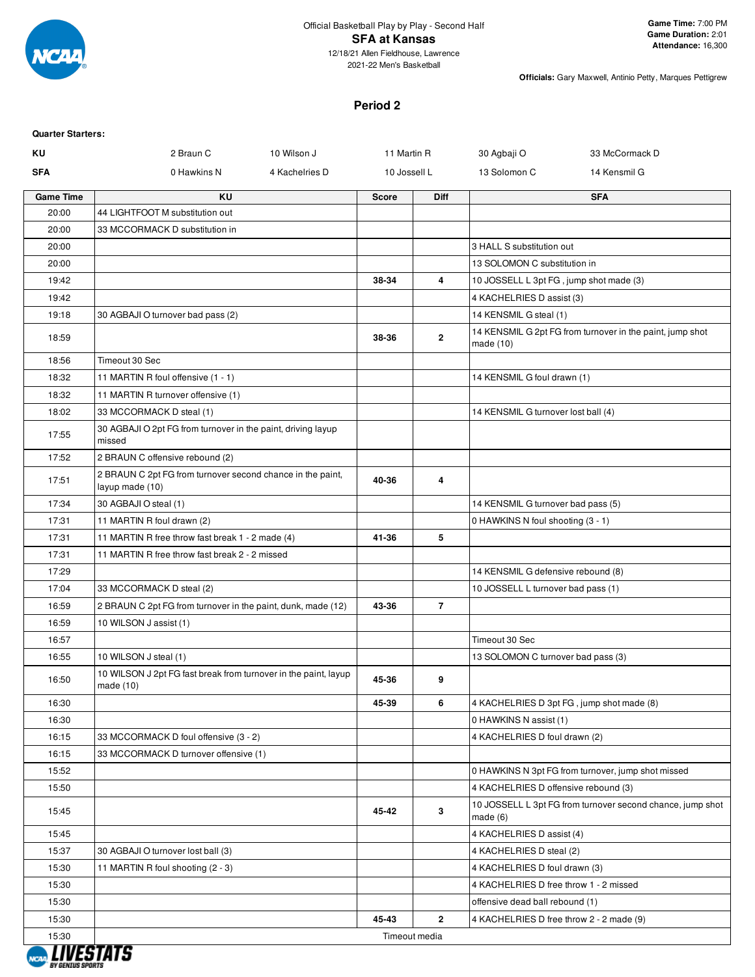

2021-22 Men's Basketball

**Officials:** Gary Maxwell, Antinio Petty, Marques Pettigrew

# **Period 2**

| <b>Quarter Starters:</b> |                                                                               |                |              |                |                                           |                                                            |
|--------------------------|-------------------------------------------------------------------------------|----------------|--------------|----------------|-------------------------------------------|------------------------------------------------------------|
| ΚU                       | 2 Braun C                                                                     | 10 Wilson J    | 11 Martin R  |                | 30 Agbaji O                               | 33 McCormack D                                             |
| <b>SFA</b>               | 0 Hawkins N                                                                   | 4 Kachelries D | 10 Jossell L |                | 13 Solomon C                              | 14 Kensmil G                                               |
| <b>Game Time</b>         | ΚU                                                                            |                | <b>Score</b> | <b>Diff</b>    |                                           | <b>SFA</b>                                                 |
| 20:00                    | 44 LIGHTFOOT M substitution out                                               |                |              |                |                                           |                                                            |
| 20:00                    | 33 MCCORMACK D substitution in                                                |                |              |                |                                           |                                                            |
| 20:00                    |                                                                               |                |              |                | 3 HALL S substitution out                 |                                                            |
| 20:00                    |                                                                               |                |              |                | 13 SOLOMON C substitution in              |                                                            |
| 19:42                    |                                                                               |                | 38-34        | 4              | 10 JOSSELL L 3pt FG, jump shot made (3)   |                                                            |
| 19:42                    |                                                                               |                |              |                | 4 KACHELRIES D assist (3)                 |                                                            |
| 19:18                    | 30 AGBAJI O turnover bad pass (2)                                             |                |              |                | 14 KENSMIL G steal (1)                    |                                                            |
| 18:59                    |                                                                               |                | 38-36        | 2              | made (10)                                 | 14 KENSMIL G 2pt FG from turnover in the paint, jump shot  |
| 18:56                    | Timeout 30 Sec                                                                |                |              |                |                                           |                                                            |
| 18:32                    | 11 MARTIN R foul offensive (1 - 1)                                            |                |              |                | 14 KENSMIL G foul drawn (1)               |                                                            |
| 18:32                    | 11 MARTIN R turnover offensive (1)                                            |                |              |                |                                           |                                                            |
| 18:02                    | 33 MCCORMACK D steal (1)                                                      |                |              |                | 14 KENSMIL G turnover lost ball (4)       |                                                            |
| 17:55                    | 30 AGBAJI O 2pt FG from turnover in the paint, driving layup<br>missed        |                |              |                |                                           |                                                            |
| 17:52                    | 2 BRAUN C offensive rebound (2)                                               |                |              |                |                                           |                                                            |
| 17:51                    | 2 BRAUN C 2pt FG from turnover second chance in the paint,<br>layup made (10) |                | 40-36        | 4              |                                           |                                                            |
| 17:34                    | 30 AGBAJI O steal (1)                                                         |                |              |                | 14 KENSMIL G turnover bad pass (5)        |                                                            |
| 17:31                    | 11 MARTIN R foul drawn (2)                                                    |                |              |                | 0 HAWKINS N foul shooting (3 - 1)         |                                                            |
| 17:31                    | 11 MARTIN R free throw fast break 1 - 2 made (4)                              |                | 41-36        | 5              |                                           |                                                            |
| 17:31                    | 11 MARTIN R free throw fast break 2 - 2 missed                                |                |              |                |                                           |                                                            |
| 17:29                    |                                                                               |                |              |                | 14 KENSMIL G defensive rebound (8)        |                                                            |
| 17:04                    | 33 MCCORMACK D steal (2)                                                      |                |              |                | 10 JOSSELL L turnover bad pass (1)        |                                                            |
| 16:59                    | 2 BRAUN C 2pt FG from turnover in the paint, dunk, made (12)                  |                | 43-36        | $\overline{7}$ |                                           |                                                            |
| 16:59                    | 10 WILSON J assist (1)                                                        |                |              |                |                                           |                                                            |
| 16:57                    |                                                                               |                |              |                | Timeout 30 Sec                            |                                                            |
| 16:55                    | 10 WILSON J steal (1)                                                         |                |              |                | 13 SOLOMON C turnover bad pass (3)        |                                                            |
| 16:50                    | 10 WILSON J 2pt FG fast break from turnover in the paint, layup<br>made (10)  |                | 45-36        | 9              |                                           |                                                            |
| 16:30                    |                                                                               |                | 45-39        | 6              | 4 KACHELRIES D 3pt FG, jump shot made (8) |                                                            |
| 16:30                    |                                                                               |                |              |                | 0 HAWKINS N assist (1)                    |                                                            |
| 16:15                    | 33 MCCORMACK D foul offensive (3 - 2)                                         |                |              |                | 4 KACHELRIES D foul drawn (2)             |                                                            |
| 16:15                    | 33 MCCORMACK D turnover offensive (1)                                         |                |              |                |                                           |                                                            |
| 15:52                    |                                                                               |                |              |                |                                           | 0 HAWKINS N 3pt FG from turnover, jump shot missed         |
| 15:50                    |                                                                               |                |              |                | 4 KACHELRIES D offensive rebound (3)      |                                                            |
| 15:45                    |                                                                               |                | 45-42        | 3              | made(6)                                   | 10 JOSSELL L 3pt FG from turnover second chance, jump shot |
| 15:45                    |                                                                               |                |              |                | 4 KACHELRIES D assist (4)                 |                                                            |
| 15:37                    | 30 AGBAJI O turnover lost ball (3)                                            |                |              |                | 4 KACHELRIES D steal (2)                  |                                                            |
| 15:30                    | 11 MARTIN R foul shooting (2 - 3)                                             |                |              |                | 4 KACHELRIES D foul drawn (3)             |                                                            |
| 15:30                    |                                                                               |                |              |                | 4 KACHELRIES D free throw 1 - 2 missed    |                                                            |
| 15:30                    |                                                                               |                |              |                | offensive dead ball rebound (1)           |                                                            |
| 15:30                    |                                                                               |                | 45-43        | $\overline{2}$ | 4 KACHELRIES D free throw 2 - 2 made (9)  |                                                            |
| 15:30                    |                                                                               |                |              | Timeout media  |                                           |                                                            |

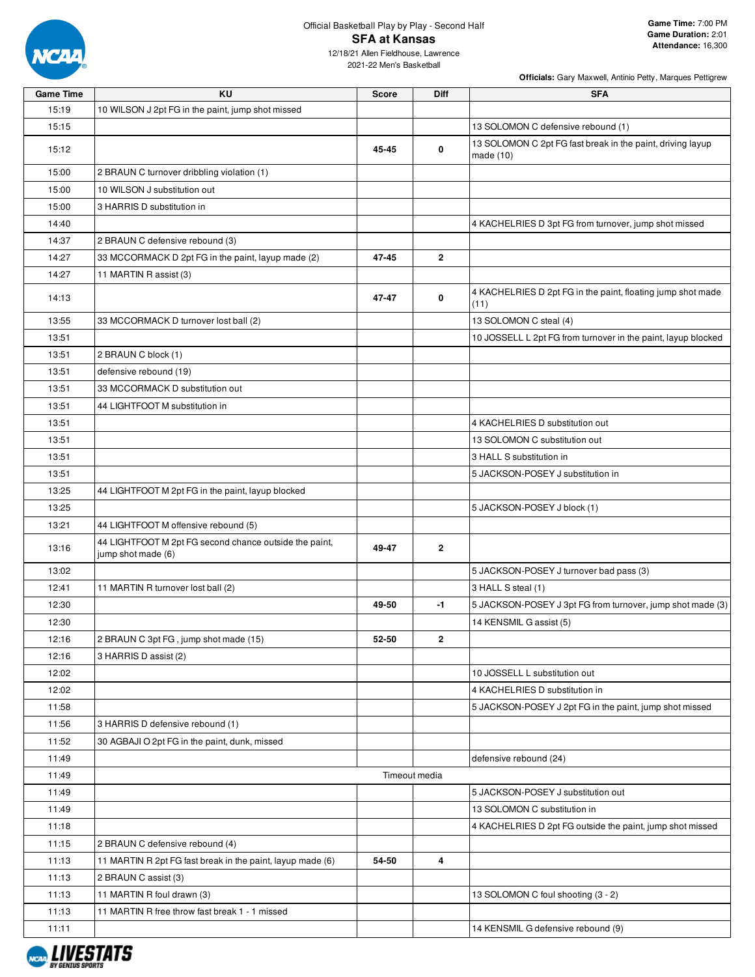

15:19 10 WILSON J 2pt FG in the paint, jump shot missed

**Officials:** Gary Maxwell, Antinio Petty, Marques Pettigrew

12/18/21 Allen Fieldhouse, Lawrence 2021-22 Men's Basketball

**Game Time KU Score Diff SFA**

| 15:15 |                                                                              |       |               | 13 SOLOMON C defensive rebound (1)                                      |
|-------|------------------------------------------------------------------------------|-------|---------------|-------------------------------------------------------------------------|
| 15:12 |                                                                              | 45-45 | 0             | 13 SOLOMON C 2pt FG fast break in the paint, driving layup<br>made (10) |
| 15:00 | 2 BRAUN C turnover dribbling violation (1)                                   |       |               |                                                                         |
| 15:00 | 10 WILSON J substitution out                                                 |       |               |                                                                         |
| 15:00 | 3 HARRIS D substitution in                                                   |       |               |                                                                         |
| 14:40 |                                                                              |       |               | 4 KACHELRIES D 3pt FG from turnover, jump shot missed                   |
| 14:37 | 2 BRAUN C defensive rebound (3)                                              |       |               |                                                                         |
| 14:27 | 33 MCCORMACK D 2pt FG in the paint, layup made (2)                           | 47-45 | $\mathbf{2}$  |                                                                         |
| 14:27 | 11 MARTIN R assist (3)                                                       |       |               |                                                                         |
| 14:13 |                                                                              | 47-47 | 0             | 4 KACHELRIES D 2pt FG in the paint, floating jump shot made<br>(11)     |
| 13:55 | 33 MCCORMACK D turnover lost ball (2)                                        |       |               | 13 SOLOMON C steal (4)                                                  |
| 13:51 |                                                                              |       |               | 10 JOSSELL L 2pt FG from turnover in the paint, layup blocked           |
| 13:51 | 2 BRAUN C block (1)                                                          |       |               |                                                                         |
| 13:51 | defensive rebound (19)                                                       |       |               |                                                                         |
| 13:51 | 33 MCCORMACK D substitution out                                              |       |               |                                                                         |
| 13:51 | 44 LIGHTFOOT M substitution in                                               |       |               |                                                                         |
| 13:51 |                                                                              |       |               | 4 KACHELRIES D substitution out                                         |
| 13:51 |                                                                              |       |               | 13 SOLOMON C substitution out                                           |
| 13:51 |                                                                              |       |               | 3 HALL S substitution in                                                |
| 13:51 |                                                                              |       |               | 5 JACKSON-POSEY J substitution in                                       |
| 13:25 | 44 LIGHTFOOT M 2pt FG in the paint, layup blocked                            |       |               |                                                                         |
| 13:25 |                                                                              |       |               | 5 JACKSON-POSEY J block (1)                                             |
| 13:21 | 44 LIGHTFOOT M offensive rebound (5)                                         |       |               |                                                                         |
| 13:16 | 44 LIGHTFOOT M 2pt FG second chance outside the paint,<br>jump shot made (6) | 49-47 | 2             |                                                                         |
| 13:02 |                                                                              |       |               | 5 JACKSON-POSEY J turnover bad pass (3)                                 |
| 12:41 | 11 MARTIN R turnover lost ball (2)                                           |       |               | 3 HALL S steal (1)                                                      |
| 12:30 |                                                                              | 49-50 | -1            | 5 JACKSON-POSEY J 3pt FG from turnover, jump shot made (3)              |
| 12:30 |                                                                              |       |               | 14 KENSMIL G assist (5)                                                 |
| 12:16 | 2 BRAUN C 3pt FG, jump shot made (15)                                        | 52-50 | $\mathbf{2}$  |                                                                         |
| 12:16 | 3 HARRIS D assist (2)                                                        |       |               |                                                                         |
| 12:02 |                                                                              |       |               | 10 JOSSELL L substitution out                                           |
| 12:02 |                                                                              |       |               | 4 KACHELRIES D substitution in                                          |
| 11:58 |                                                                              |       |               | 5 JACKSON-POSEY J 2pt FG in the paint, jump shot missed                 |
| 11:56 | 3 HARRIS D defensive rebound (1)                                             |       |               |                                                                         |
| 11:52 | 30 AGBAJI O 2pt FG in the paint, dunk, missed                                |       |               |                                                                         |
| 11:49 |                                                                              |       |               | defensive rebound (24)                                                  |
| 11:49 |                                                                              |       | Timeout media |                                                                         |
| 11:49 |                                                                              |       |               | 5 JACKSON-POSEY J substitution out                                      |
| 11:49 |                                                                              |       |               | 13 SOLOMON C substitution in                                            |
| 11:18 |                                                                              |       |               | 4 KACHELRIES D 2pt FG outside the paint, jump shot missed               |
| 11:15 | 2 BRAUN C defensive rebound (4)                                              |       |               |                                                                         |
| 11:13 | 11 MARTIN R 2pt FG fast break in the paint, layup made (6)                   | 54-50 | 4             |                                                                         |
| 11:13 | 2 BRAUN C assist (3)                                                         |       |               |                                                                         |
| 11:13 | 11 MARTIN R foul drawn (3)                                                   |       |               | 13 SOLOMON C foul shooting (3 - 2)                                      |
| 11:13 | 11 MARTIN R free throw fast break 1 - 1 missed                               |       |               |                                                                         |
| 11:11 |                                                                              |       |               | 14 KENSMIL G defensive rebound (9)                                      |

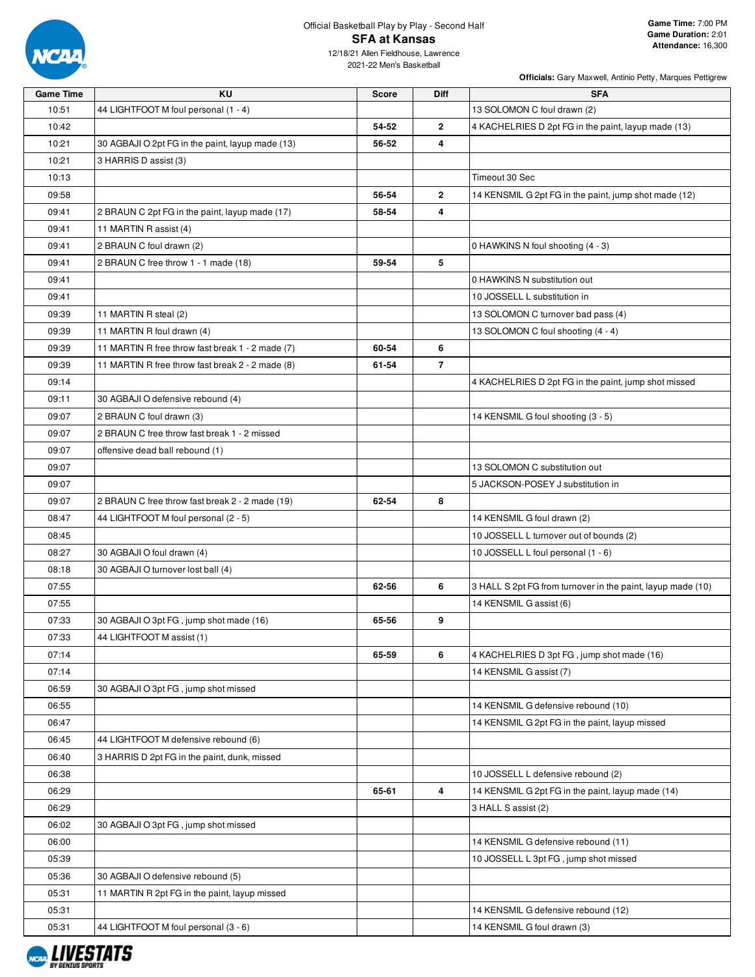

2021-22 Men's Basketball

| <b>Officials:</b> Gary Maxwell, Antinio Petty, Marques Pettigrew |  |
|------------------------------------------------------------------|--|

| <b>Game Time</b> | ΚU                                               | <b>Score</b> | Diff           | <b>SFA</b>                                                  |
|------------------|--------------------------------------------------|--------------|----------------|-------------------------------------------------------------|
| 10:51            | 44 LIGHTFOOT M foul personal (1 - 4)             |              |                | 13 SOLOMON C foul drawn (2)                                 |
| 10:42            |                                                  | 54-52        | $\mathbf{2}$   | 4 KACHELRIES D 2pt FG in the paint, layup made (13)         |
| 10:21            | 30 AGBAJI O 2pt FG in the paint, layup made (13) | 56-52        | 4              |                                                             |
| 10:21            | 3 HARRIS D assist (3)                            |              |                |                                                             |
| 10:13            |                                                  |              |                | Timeout 30 Sec                                              |
| 09:58            |                                                  | 56-54        | $\mathbf{2}$   | 14 KENSMIL G 2pt FG in the paint, jump shot made (12)       |
| 09:41            | 2 BRAUN C 2pt FG in the paint, layup made (17)   | 58-54        | 4              |                                                             |
| 09:41            | 11 MARTIN R assist (4)                           |              |                |                                                             |
| 09:41            | 2 BRAUN C foul drawn (2)                         |              |                | 0 HAWKINS N foul shooting (4 - 3)                           |
| 09:41            | 2 BRAUN C free throw 1 - 1 made (18)             | 59-54        | 5              |                                                             |
| 09:41            |                                                  |              |                | 0 HAWKINS N substitution out                                |
| 09:41            |                                                  |              |                | 10 JOSSELL L substitution in                                |
| 09:39            | 11 MARTIN R steal (2)                            |              |                | 13 SOLOMON C turnover bad pass (4)                          |
| 09:39            | 11 MARTIN R foul drawn (4)                       |              |                | 13 SOLOMON C foul shooting (4 - 4)                          |
| 09:39            | 11 MARTIN R free throw fast break 1 - 2 made (7) | 60-54        | 6              |                                                             |
| 09:39            | 11 MARTIN R free throw fast break 2 - 2 made (8) | 61-54        | $\overline{7}$ |                                                             |
| 09:14            |                                                  |              |                | 4 KACHELRIES D 2pt FG in the paint, jump shot missed        |
| 09:11            | 30 AGBAJI O defensive rebound (4)                |              |                |                                                             |
| 09:07            | 2 BRAUN C foul drawn (3)                         |              |                | 14 KENSMIL G foul shooting (3 - 5)                          |
| 09:07            | 2 BRAUN C free throw fast break 1 - 2 missed     |              |                |                                                             |
| 09:07            | offensive dead ball rebound (1)                  |              |                |                                                             |
| 09:07            |                                                  |              |                | 13 SOLOMON C substitution out                               |
| 09:07            |                                                  |              |                | 5 JACKSON-POSEY J substitution in                           |
| 09:07            | 2 BRAUN C free throw fast break 2 - 2 made (19)  | 62-54        | 8              |                                                             |
| 08:47            | 44 LIGHTFOOT M foul personal (2 - 5)             |              |                | 14 KENSMIL G foul drawn (2)                                 |
| 08:45            |                                                  |              |                | 10 JOSSELL L turnover out of bounds (2)                     |
| 08:27            | 30 AGBAJI O foul drawn (4)                       |              |                | 10 JOSSELL L foul personal (1 - 6)                          |
| 08:18            | 30 AGBAJI O turnover lost ball (4)               |              |                |                                                             |
| 07:55            |                                                  | 62-56        | 6              | 3 HALL S 2pt FG from turnover in the paint, layup made (10) |
| 07:55            |                                                  |              |                | 14 KENSMIL G assist (6)                                     |
| 07:33            | 30 AGBAJI O 3pt FG, jump shot made (16)          | 65-56        | 9              |                                                             |
| 07:33            | 44 LIGHTFOOT M assist (1)                        |              |                |                                                             |
| 07:14            |                                                  | 65-59        | 6              | 4 KACHELRIES D 3pt FG, jump shot made (16)                  |
| 07:14            |                                                  |              |                | 14 KENSMIL G assist (7)                                     |
| 06:59            | 30 AGBAJI O 3pt FG, jump shot missed             |              |                |                                                             |
| 06:55            |                                                  |              |                | 14 KENSMIL G defensive rebound (10)                         |
| 06:47            |                                                  |              |                | 14 KENSMIL G 2pt FG in the paint, layup missed              |
| 06:45            | 44 LIGHTFOOT M defensive rebound (6)             |              |                |                                                             |
| 06:40            | 3 HARRIS D 2pt FG in the paint, dunk, missed     |              |                |                                                             |
| 06:38            |                                                  |              |                | 10 JOSSELL L defensive rebound (2)                          |
| 06:29            |                                                  | 65-61        | 4              | 14 KENSMIL G 2pt FG in the paint, layup made (14)           |
| 06:29            |                                                  |              |                | 3 HALL S assist (2)                                         |
| 06:02            | 30 AGBAJI O 3pt FG, jump shot missed             |              |                |                                                             |
| 06:00            |                                                  |              |                | 14 KENSMIL G defensive rebound (11)                         |
| 05:39            |                                                  |              |                | 10 JOSSELL L 3pt FG, jump shot missed                       |
| 05:36            | 30 AGBAJI O defensive rebound (5)                |              |                |                                                             |
| 05:31            | 11 MARTIN R 2pt FG in the paint, layup missed    |              |                |                                                             |
| 05:31            |                                                  |              |                | 14 KENSMIL G defensive rebound (12)                         |
| 05:31            | 44 LIGHTFOOT M foul personal (3 - 6)             |              |                | 14 KENSMIL G foul drawn (3)                                 |

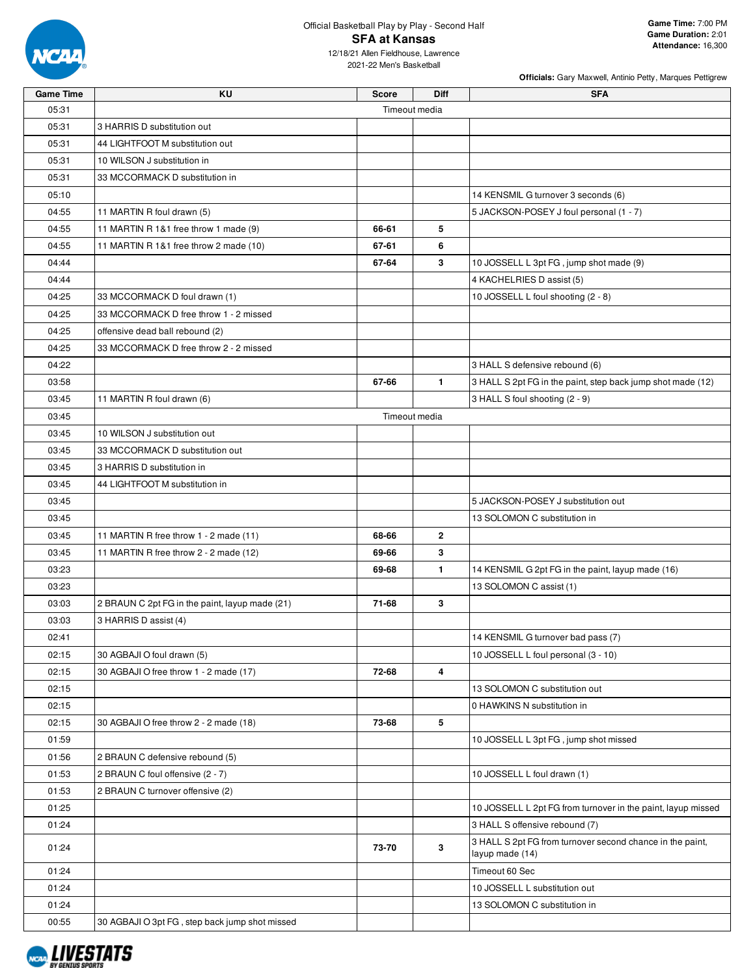

12/18/21 Allen Fieldhouse, Lawrence 2021-22 Men's Basketball

|                  |                                                |              |               | Officials: Gary Maxwell, Antinio Petty, Marques Pettigrew                    |
|------------------|------------------------------------------------|--------------|---------------|------------------------------------------------------------------------------|
| <b>Game Time</b> | KU                                             | <b>Score</b> | <b>Diff</b>   | <b>SFA</b>                                                                   |
| 05:31            |                                                |              | Timeout media |                                                                              |
| 05:31            | 3 HARRIS D substitution out                    |              |               |                                                                              |
| 05:31            | 44 LIGHTFOOT M substitution out                |              |               |                                                                              |
| 05:31            | 10 WILSON J substitution in                    |              |               |                                                                              |
| 05:31            | 33 MCCORMACK D substitution in                 |              |               |                                                                              |
| 05:10            |                                                |              |               | 14 KENSMIL G turnover 3 seconds (6)                                          |
| 04:55            | 11 MARTIN R foul drawn (5)                     |              |               | 5 JACKSON-POSEY J foul personal (1 - 7)                                      |
| 04:55            | 11 MARTIN R 1&1 free throw 1 made (9)          | 66-61        | 5             |                                                                              |
| 04:55            | 11 MARTIN R 1&1 free throw 2 made (10)         | 67-61        | 6             |                                                                              |
| 04:44            |                                                | 67-64        | 3             | 10 JOSSELL L 3pt FG, jump shot made (9)                                      |
| 04:44            |                                                |              |               | 4 KACHELRIES D assist (5)                                                    |
| 04:25            | 33 MCCORMACK D foul drawn (1)                  |              |               | 10 JOSSELL L foul shooting (2 - 8)                                           |
| 04:25            | 33 MCCORMACK D free throw 1 - 2 missed         |              |               |                                                                              |
| 04:25            | offensive dead ball rebound (2)                |              |               |                                                                              |
| 04:25            | 33 MCCORMACK D free throw 2 - 2 missed         |              |               |                                                                              |
| 04:22            |                                                |              |               | 3 HALL S defensive rebound (6)                                               |
| 03:58            |                                                | 67-66        | $\mathbf{1}$  | 3 HALL S 2pt FG in the paint, step back jump shot made (12)                  |
| 03:45            | 11 MARTIN R foul drawn (6)                     |              |               | 3 HALL S foul shooting (2 - 9)                                               |
| 03:45            |                                                |              | Timeout media |                                                                              |
| 03:45            | 10 WILSON J substitution out                   |              |               |                                                                              |
| 03:45            | 33 MCCORMACK D substitution out                |              |               |                                                                              |
| 03:45            | 3 HARRIS D substitution in                     |              |               |                                                                              |
| 03:45            | 44 LIGHTFOOT M substitution in                 |              |               |                                                                              |
| 03:45            |                                                |              |               | 5 JACKSON-POSEY J substitution out                                           |
| 03:45            |                                                |              |               | 13 SOLOMON C substitution in                                                 |
| 03:45            | 11 MARTIN R free throw 1 - 2 made (11)         | 68-66        | $\mathbf{2}$  |                                                                              |
| 03:45            | 11 MARTIN R free throw 2 - 2 made (12)         | 69-66        | 3             |                                                                              |
| 03:23            |                                                | 69-68        | $\mathbf{1}$  | 14 KENSMIL G 2pt FG in the paint, layup made (16)                            |
| 03:23            |                                                |              |               | 13 SOLOMON C assist (1)                                                      |
|                  |                                                | 71-68        | 3             |                                                                              |
| 03:03            | 2 BRAUN C 2pt FG in the paint, layup made (21) |              |               |                                                                              |
| 03:03            | 3 HARRIS D assist (4)                          |              |               |                                                                              |
| 02:41            |                                                |              |               | 14 KENSMIL G turnover bad pass (7)                                           |
| 02:15            | 30 AGBAJI O foul drawn (5)                     |              |               | 10 JOSSELL L foul personal (3 - 10)                                          |
| 02:15            | 30 AGBAJI O free throw 1 - 2 made (17)         | 72-68        | 4             |                                                                              |
| 02:15            |                                                |              |               | 13 SOLOMON C substitution out                                                |
| 02:15            |                                                |              |               | 0 HAWKINS N substitution in                                                  |
| 02:15            | 30 AGBAJI O free throw 2 - 2 made (18)         | 73-68        | 5             |                                                                              |
| 01:59            |                                                |              |               | 10 JOSSELL L 3pt FG, jump shot missed                                        |
| 01:56            | 2 BRAUN C defensive rebound (5)                |              |               |                                                                              |
| 01:53            | 2 BRAUN C foul offensive (2 - 7)               |              |               | 10 JOSSELL L foul drawn (1)                                                  |
| 01:53            | 2 BRAUN C turnover offensive (2)               |              |               |                                                                              |
| 01:25            |                                                |              |               | 10 JOSSELL L 2pt FG from turnover in the paint, layup missed                 |
| 01:24            |                                                |              |               | 3 HALL S offensive rebound (7)                                               |
| 01:24            |                                                | 73-70        | 3             | 3 HALL S 2pt FG from turnover second chance in the paint,<br>layup made (14) |
| 01:24            |                                                |              |               | Timeout 60 Sec                                                               |
| 01:24            |                                                |              |               | 10 JOSSELL L substitution out                                                |
| 01:24            |                                                |              |               | 13 SOLOMON C substitution in                                                 |
| 00:55            | 30 AGBAJI O 3pt FG, step back jump shot missed |              |               |                                                                              |

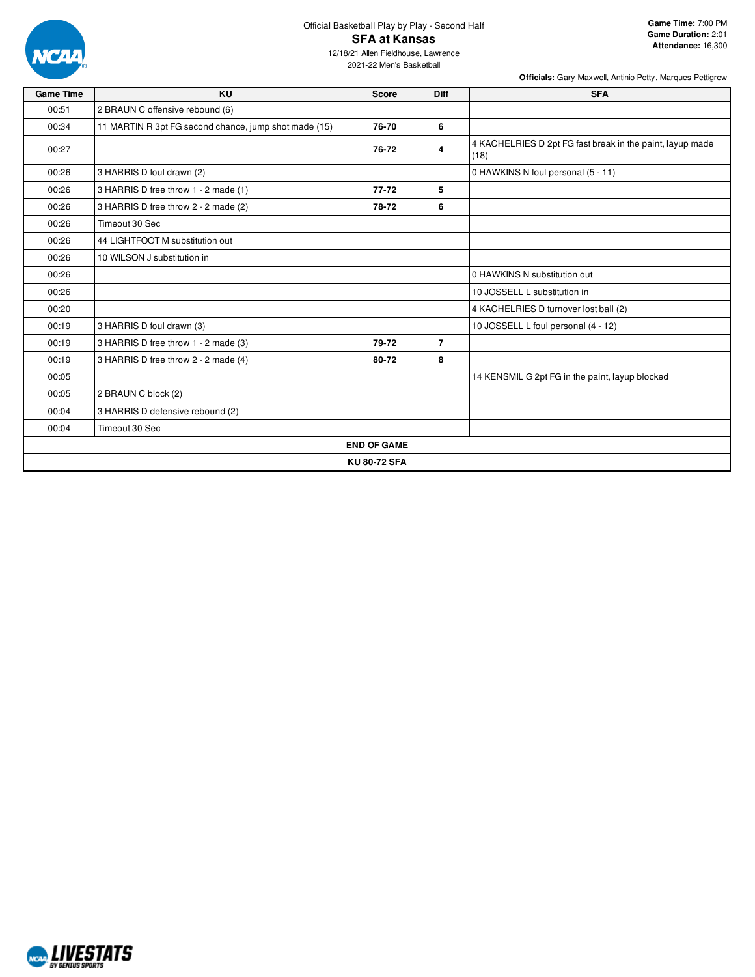

# Official Basketball Play by Play - Second Half **SFA at Kansas**

12/18/21 Allen Fieldhouse, Lawrence 2021-22 Men's Basketball

| <b>Game Time</b> | KU                                                    | <b>Score</b>        | <b>Diff</b>    | <b>SFA</b>                                                        |
|------------------|-------------------------------------------------------|---------------------|----------------|-------------------------------------------------------------------|
| 00:51            | 2 BRAUN C offensive rebound (6)                       |                     |                |                                                                   |
| 00:34            | 11 MARTIN R 3pt FG second chance, jump shot made (15) | 76-70               | 6              |                                                                   |
| 00:27            |                                                       | 76-72               | 4              | 4 KACHELRIES D 2pt FG fast break in the paint, layup made<br>(18) |
| 00:26            | 3 HARRIS D foul drawn (2)                             |                     |                | 0 HAWKINS N foul personal (5 - 11)                                |
| 00:26            | 3 HARRIS D free throw 1 - 2 made (1)                  | $77 - 72$           | 5              |                                                                   |
| 00:26            | 3 HARRIS D free throw 2 - 2 made (2)                  | 78-72               | 6              |                                                                   |
| 00:26            | Timeout 30 Sec                                        |                     |                |                                                                   |
| 00:26            | 44 LIGHTFOOT M substitution out                       |                     |                |                                                                   |
| 00:26            | 10 WILSON J substitution in                           |                     |                |                                                                   |
| 00:26            |                                                       |                     |                | 0 HAWKINS N substitution out                                      |
| 00:26            |                                                       |                     |                | 10 JOSSELL L substitution in                                      |
| 00:20            |                                                       |                     |                | 4 KACHELRIES D turnover lost ball (2)                             |
| 00:19            | 3 HARRIS D foul drawn (3)                             |                     |                | 10 JOSSELL L foul personal (4 - 12)                               |
| 00:19            | 3 HARRIS D free throw 1 - 2 made (3)                  | 79-72               | $\overline{7}$ |                                                                   |
| 00:19            | 3 HARRIS D free throw 2 - 2 made (4)                  | 80-72               | 8              |                                                                   |
| 00:05            |                                                       |                     |                | 14 KENSMIL G 2pt FG in the paint, layup blocked                   |
| 00:05            | 2 BRAUN C block (2)                                   |                     |                |                                                                   |
| 00:04            | 3 HARRIS D defensive rebound (2)                      |                     |                |                                                                   |
| 00:04            | Timeout 30 Sec                                        |                     |                |                                                                   |
|                  |                                                       | <b>END OF GAME</b>  |                |                                                                   |
|                  |                                                       | <b>KU 80-72 SFA</b> |                |                                                                   |

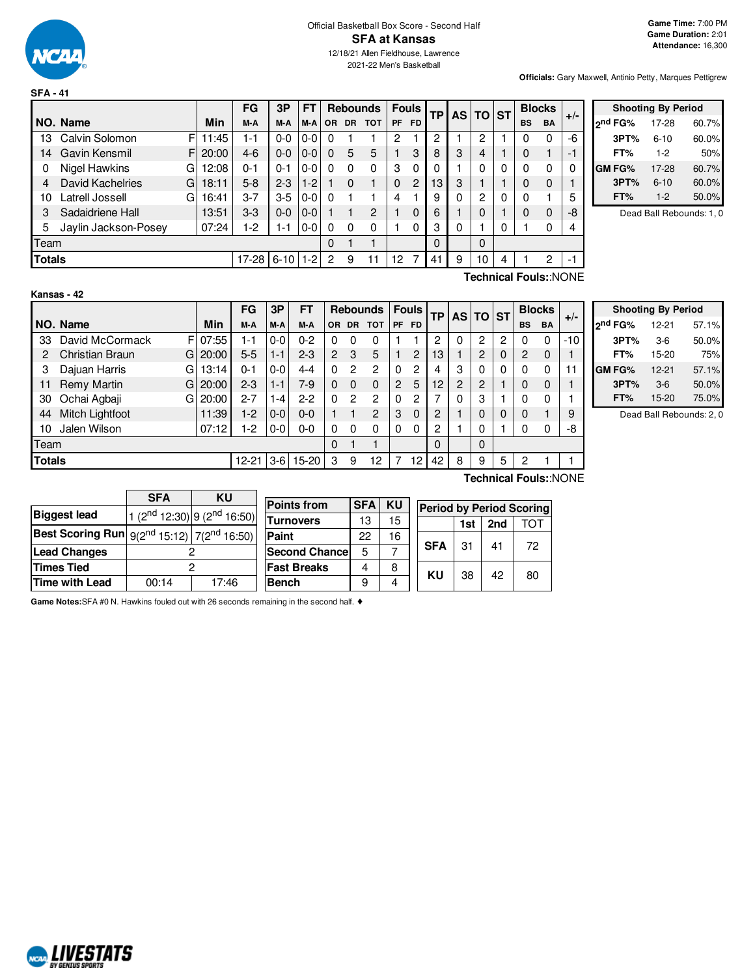

**SFA - 41**

**Officials:** Gary Maxwell, Antinio Petty, Marques Pettigrew

|               |                      |   |       | FG        | 3P       | FT      |           |           | <b>Rebounds</b> | <b>Fouls</b> |                | TP              | AS I | <b>TO ST</b> |   | <b>Blocks</b> |           | $+/-$ |
|---------------|----------------------|---|-------|-----------|----------|---------|-----------|-----------|-----------------|--------------|----------------|-----------------|------|--------------|---|---------------|-----------|-------|
|               | NO. Name             |   | Min   | M-A       | M-A      | M-A     | <b>OR</b> | <b>DR</b> | <b>TOT</b>      | <b>PF</b>    | <b>FD</b>      |                 |      |              |   | <b>BS</b>     | <b>BA</b> |       |
| 13            | Calvin Solomon       | F | 11:45 | 1-1       | $0 - 0$  | $0-0$   | 0         |           |                 | 2            |                | ົ               |      | 2            |   |               |           | -6    |
| 14            | Gavin Kensmil        | F | 20:00 | $4-6$     | $0 - 0$  | 0-0     | 0         | 5         | 5               |              | 3              | 8               | 3    | 4            |   | 0             |           | $-1$  |
| 0             | Nigel Hawkins        | G | 12:08 | $0 - 1$   | $0 - 1$  | 0-0     | 0         | $\Omega$  | 0               | 3            | $\Omega$       | 0               |      | 0            |   | 0             |           | 0     |
| 4             | David Kachelries     | G | 18:11 | $5 - 8$   | $2 - 3$  | $-2$    |           | $\Omega$  |                 | $\Omega$     | $\overline{c}$ | 13 <sup>°</sup> | 3    |              |   | O             | 0         |       |
| 10            | Latrell Jossell      | G | 16:41 | $3 - 7$   | $3-5$    | 0-0     | 0         |           |                 | 4            |                | 9               | 0    | 2            |   | 0             |           | 5     |
| 3             | Sadaidriene Hall     |   | 13:51 | $3 - 3$   | $0 - 0$  | $0 - 0$ |           |           | $\overline{2}$  |              | $\Omega$       | 6               |      | 0            |   | 0             | 0         | -8    |
| 5             | Jaylin Jackson-Posey |   | 07:24 | 1-2       | $1 - 1$  | $0-0$   | 0         | $\Omega$  | 0               |              | 0              | 3               | 0    |              |   |               |           | 4     |
| Team          |                      |   |       |           |          |         | 0         |           |                 |              |                | 0               |      | 0            |   |               |           |       |
| <b>Totals</b> |                      |   |       | $17 - 28$ | $6 - 10$ | -2      | 2         | 9         |                 | 12           |                | -41             | 9    | 10           | 4 |               | 2         | $-1$  |

| <b>Shooting By Period</b> |          |       |  |  |  |  |  |  |  |
|---------------------------|----------|-------|--|--|--|--|--|--|--|
| ond FG%                   | 17-28    | 60.7% |  |  |  |  |  |  |  |
| 3PT%                      | $6 - 10$ | 60.0% |  |  |  |  |  |  |  |
| FT%                       | $1-2$    | 50%   |  |  |  |  |  |  |  |
| GM FG%                    | 17-28    | 60.7% |  |  |  |  |  |  |  |
| 3PT%                      | $6 - 10$ | 60.0% |  |  |  |  |  |  |  |
| FT%                       | $1 - 2$  | 50.0% |  |  |  |  |  |  |  |

Dead Ball Rebounds: 1, 0

**Kansas - 42**

**Technical Fouls:**:NONE

|               |                        |             | FG        | 3P      | FТ      |                |           | <b>Rebounds</b> |                | <b>Fouls</b>   |          |   | AS TO ST |          |           | <b>Blocks</b> |       |
|---------------|------------------------|-------------|-----------|---------|---------|----------------|-----------|-----------------|----------------|----------------|----------|---|----------|----------|-----------|---------------|-------|
|               | NO. Name               | Min         | M-A       | M-A     | M-A     | OR.            | <b>DR</b> | тот             | PF.            | <b>FD</b>      | TР       |   |          |          | <b>BS</b> | <b>BA</b>     | $+/-$ |
| 33            | David McCormack        | FI<br>07:55 | 1-1       | 0-0     | $0 - 2$ | 0              | 0         |                 |                |                | 2        | 0 | 2        | 2        |           | $\Omega$      | $-10$ |
| 2             | <b>Christian Braun</b> | 20:00<br>GI | $5-5$     | $1 - 1$ | $2 - 3$ | $\overline{2}$ | 3         | 5               |                | $\overline{2}$ | 13       |   | 2        | 0        | 2         | $\mathbf 0$   |       |
| 3             | Dajuan Harris          | GI<br>13:14 | $0 - 1$   | $0-0$   | 4-4     | 0              | 2         | 2               |                | 2              | 4        | 3 | 0        | $\Omega$ | ი         | 0             |       |
| 11            | <b>Remy Martin</b>     | 20:00<br>Gl | $2 - 3$   | $1 - 1$ | 7-9     | 0              | $\Omega$  | $\Omega$        | $\overline{2}$ | 5              | 12       | 2 | 2        |          | 0         | 0             |       |
| 30            | Ochai Agbaji           | 20:00<br>Gl | $2 - 7$   | -4      | $2-2$   | 0              | 2         | 2               |                | 2              |          | 0 | 3        |          |           | 0             |       |
| 44            | Mitch Lightfoot        | 11:39       | $1-2$     | $0 - 0$ | $0 - 0$ |                |           | $\overline{c}$  | 3              | $\Omega$       | 2        |   | 0        | 0        | 0         |               |       |
| 10            | Jalen Wilson           | 07:12       | $1-2$     | $0-0$   | $0 - 0$ | 0              | $\Omega$  |                 | 0              | $\Omega$       | 2        |   | 0        |          |           | 0             | -8    |
| Team          |                        |             |           |         |         | $\Omega$       |           |                 |                |                | $\Omega$ |   | $\Omega$ |          |           |               |       |
| <b>Totals</b> |                        |             | $12 - 21$ | 3-6     | $15-20$ | 3              | 9         | 12              |                | 12             | 42       | 8 | 9        | 5        | ິ         |               |       |

| <b>Shooting By Period</b> |           |       |  |  |  |  |  |  |  |  |  |  |  |
|---------------------------|-----------|-------|--|--|--|--|--|--|--|--|--|--|--|
| 2nd FG%                   | $12 - 21$ | 57.1% |  |  |  |  |  |  |  |  |  |  |  |
| 3PT%                      | $3-6$     | 50.0% |  |  |  |  |  |  |  |  |  |  |  |
| FT%                       | 15-20     | 75%   |  |  |  |  |  |  |  |  |  |  |  |
| GM FG%                    | $12 - 21$ | 57.1% |  |  |  |  |  |  |  |  |  |  |  |
| 3PT%                      | $3-6$     | 50.0% |  |  |  |  |  |  |  |  |  |  |  |
| FT%                       | 15-20     | 75.0% |  |  |  |  |  |  |  |  |  |  |  |

Dead Ball Rebounds: 2, 0

|                                                               | <b>SFA</b> | ΚU                                      |  |
|---------------------------------------------------------------|------------|-----------------------------------------|--|
| <b>Biggest lead</b>                                           |            | 1 ( $2^{nd}$ 12:30) 9 ( $2^{nd}$ 16:50) |  |
| <b>Best Scoring Run</b> $9(2^{nd} 15:12)$ 7( $2^{nd} 16:50$ ) |            |                                         |  |
| <b>Lead Changes</b>                                           |            |                                         |  |
| <b>Times Tied</b>                                             |            |                                         |  |
| <b>Time with Lead</b>                                         | 00:14      | 17:46                                   |  |

**Points from SFA KU Turnovers** | 13 | 15 **Paint** 22 16 **Second Chance** 5 7 **Fast Breaks** 4 8 **Bench** 9 4

**Technical Fouls:**:NONE

| <b>Period by Period Scoring</b> |     |     |     |  |  |  |  |  |  |  |  |  |
|---------------------------------|-----|-----|-----|--|--|--|--|--|--|--|--|--|
|                                 | 1st | 2nd | TOT |  |  |  |  |  |  |  |  |  |
| <b>SFA</b>                      | 31  | 41  | 72  |  |  |  |  |  |  |  |  |  |
| κu                              | 38  | 42  | 80  |  |  |  |  |  |  |  |  |  |

**Game Notes:**SFA #0 N. Hawkins fouled out with 26 seconds remaining in the second half. ♦

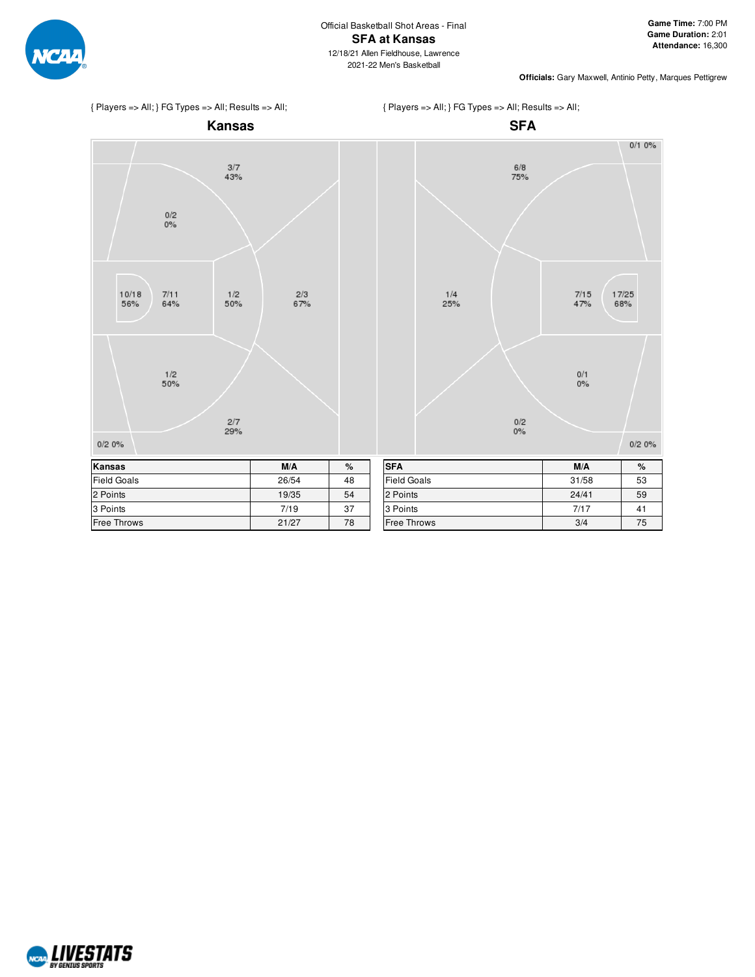



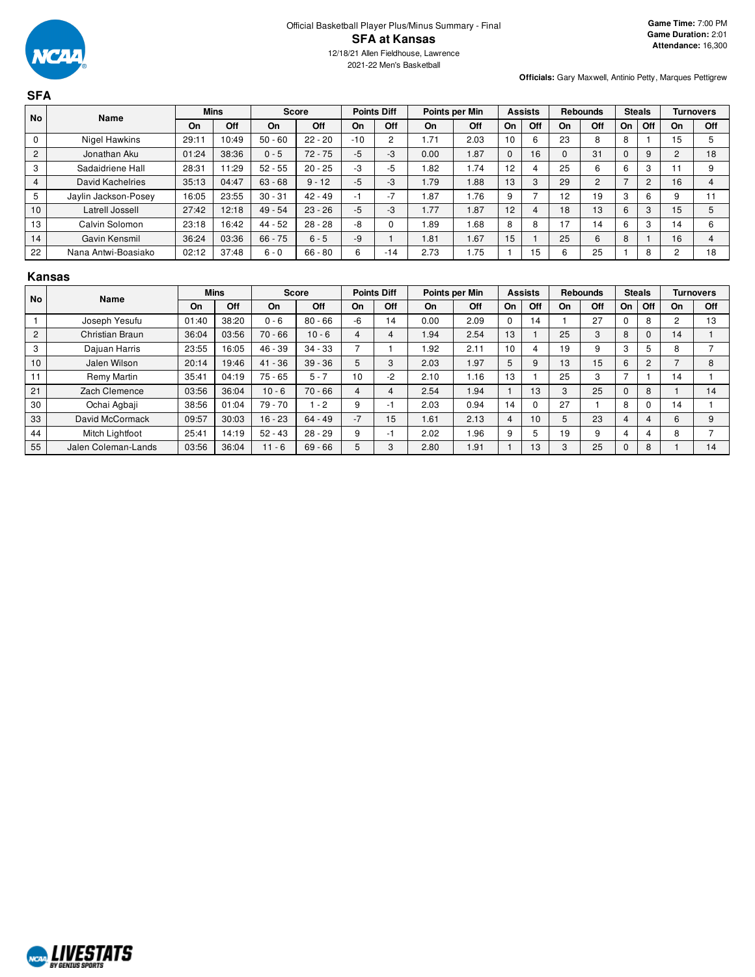| <b>SFA</b>     |                         |       |             |              |           |       |                    |                |      |                |                          |          |                 |          |                |                |                  |
|----------------|-------------------------|-------|-------------|--------------|-----------|-------|--------------------|----------------|------|----------------|--------------------------|----------|-----------------|----------|----------------|----------------|------------------|
| <b>No</b>      | <b>Name</b>             |       | <b>Mins</b> | <b>Score</b> |           |       | <b>Points Diff</b> | Points per Min |      | <b>Assists</b> |                          |          | <b>Rebounds</b> |          | <b>Steals</b>  |                | <b>Turnovers</b> |
|                |                         | On    | Off         | On           | Off       | On    | Off                | On             | Off  | On             | Off                      | On       | Off             | On       | Off            | On             | Off              |
| 0              | Nigel Hawkins           | 29:11 | 10:49       | $50 - 60$    | $22 - 20$ | $-10$ | 2                  | 1.71           | 2.03 | 10             | 6                        | 23       | 8               | 8        |                | 15             | 5                |
| $\overline{2}$ | Jonathan Aku            | 01:24 | 38:36       | $0 - 5$      | $72 - 75$ | $-5$  | $-3$               | 0.00           | 1.87 | $\mathbf{0}$   | 16                       | $\Omega$ | 31              | $\Omega$ | 9              | $\overline{2}$ | 18               |
| 3              | Sadaidriene Hall        | 28:31 | 11:29       | $52 - 55$    | $20 - 25$ | -3    | $-5$               | 1.82           | 1.74 | 12             | 4                        | 25       | 6               | 6        | 3              | 11             | 9                |
| $\overline{4}$ | <b>David Kachelries</b> | 35:13 | 04:47       | $63 - 68$    | $9 - 12$  | $-5$  | $-3$               | 1.79           | 1.88 | 13             | 3                        | 29       | 2               |          | $\overline{c}$ | 16             | 4                |
| 5              | Jaylin Jackson-Posey    | 16:05 | 23:55       | $30 - 31$    | $42 - 49$ | -1    | $-7$               | .87            | 1.76 | 9              | $\overline{\phantom{0}}$ | 12       | 19              | 3        | 6              | 9              | 11               |
| 10             | Latrell Jossell         | 27:42 | 12:18       | $49 - 54$    | $23 - 26$ | $-5$  | $-3$               | 1.77           | 1.87 | 12             | 4                        | 18       | 13              | 6        | 3              | 15             | 5                |
| 13             | Calvin Solomon          | 23:18 | 16:42       | $44 - 52$    | $28 - 28$ | -8    |                    | .89            | 1.68 | 8              | 8                        | 17       | 14              | 6        | 3              | 14             | 6                |
| 14             | Gavin Kensmil           | 36:24 | 03:36       | $66 - 75$    | $6 - 5$   | -9    |                    | 1.81           | 1.67 | 15             |                          | 25       | 6               | 8        |                | 16             | 4                |
| 22             | Nana Antwi-Boasiako     | 02:12 | 37:48       | $6 - 0$      | $66 - 80$ | 6     | $-14$              | 2.73           | 1.75 |                | 15                       | 6        | 25              |          | 8              | $\Omega$       | 18               |

## **Kansas**

| <b>No</b>      | Name                |       | <b>Mins</b> |           | <b>Score</b> |      | <b>Points Diff</b> |      | Points per Min |    | <b>Assists</b>  | <b>Rebounds</b> |     | <b>Steals</b> |                |    | <b>Turnovers</b> |
|----------------|---------------------|-------|-------------|-----------|--------------|------|--------------------|------|----------------|----|-----------------|-----------------|-----|---------------|----------------|----|------------------|
|                |                     | On    | Off         | On        | Off          | On   | Off                | On   | Off            | On | Off             | On              | Off | On.           | Off            | On | Off              |
|                | Joseph Yesufu       | 01:40 | 38:20       | $0 - 6$   | $80 - 66$    | -6   | 14                 | 0.00 | 2.09           | 0  | 14              |                 | 27  |               | 8              | ∩  | 13               |
| $\overline{2}$ | Christian Braun     | 36:04 | 03:56       | $70 - 66$ | $10 - 6$     | 4    |                    | 1.94 | 2.54           | 13 |                 | 25              | 3   | 8             | $\Omega$       | 14 |                  |
| 3              | Dajuan Harris       | 23:55 | 16:05       | 46 - 39   | $34 - 33$    |      |                    | .92  | 2.11           | 10 | 4               | 19              | 9   | 3             | 5              | 8  |                  |
| 10             | Jalen Wilson        | 20:14 | 19:46       | $41 - 36$ | $39 - 36$    | 5    |                    | 2.03 | 1.97           | 5  | 9               | 13              | 15  | 6             | $\overline{2}$ |    | 8                |
| 11             | Remy Martin         | 35:41 | 04:19       | $75 - 65$ | $5 - 7$      | 10   | -2                 | 2.10 | 1.16           | 13 |                 | 25              | 3   |               |                | 14 |                  |
| 21             | Zach Clemence       | 03:56 | 36:04       | $10 - 6$  | $70 - 66$    | 4    |                    | 2.54 | 1.94           |    | 13              | 3               | 25  | 0             | 8              |    | 14               |
| 30             | Ochai Agbaji        | 38:56 | 01:04       | $79 - 70$ | $-2$         | 9    | - 1                | 2.03 | 0.94           | 14 | 0               | 27              |     | 8             | $\Omega$       | 14 |                  |
| 33             | David McCormack     | 09:57 | 30:03       | $16 - 23$ | $64 - 49$    | $-7$ | 15                 | 1.61 | 2.13           | 4  | 10 <sup>1</sup> | 5               | 23  | 4             | 4              | 6  | 9                |
| 44             | Mitch Lightfoot     | 25:41 | 14:19       | $52 - 43$ | $28 - 29$    | 9    | - 1                | 2.02 | 1.96           | 9  | 5               | 19              | 9   |               | 4              | 8  |                  |
| 55             | Jalen Coleman-Lands | 03:56 | 36:04       | $11 - 6$  | $69 - 66$    |      |                    | 2.80 | 1.91           |    | 13              | 3               | 25  | 0             | 8              |    | 14               |

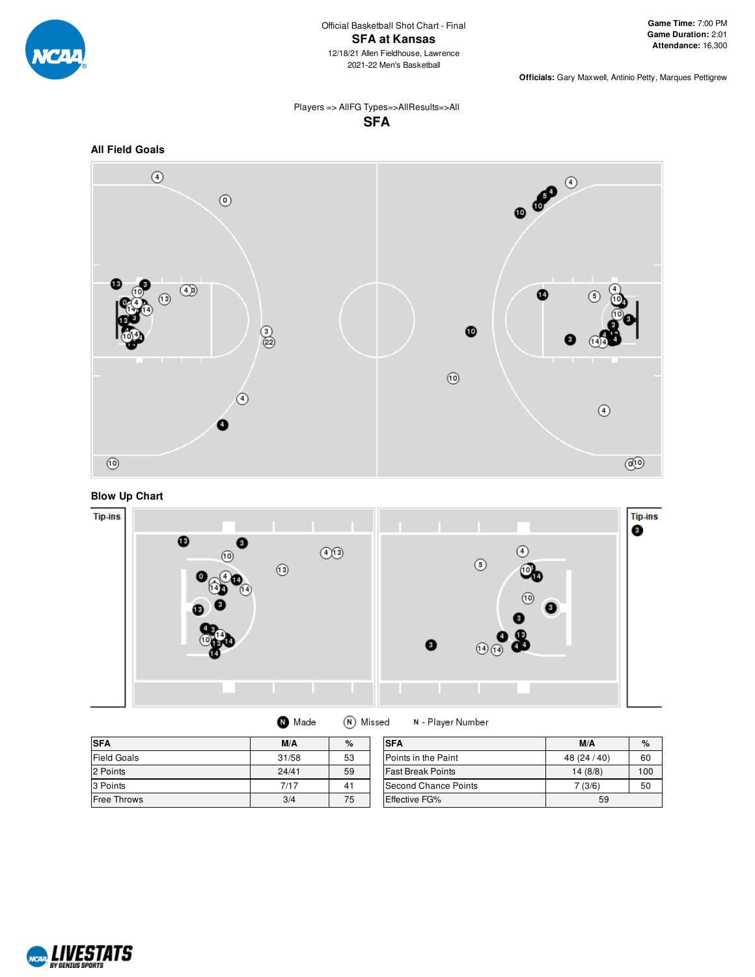

## Players => AllFG Types=>AllResults=>All **SFA**









| <b>O</b> Made | (N) Missed |
|---------------|------------|
|---------------|------------|

N - Player Number

| <b>SFA</b>         | M/A   | $\%$ | <b>SFA</b>               | M/A          | $\%$ |
|--------------------|-------|------|--------------------------|--------------|------|
| <b>Field Goals</b> | 31/58 | 53   | Points in the Paint      | 48 (24 / 40) | 60   |
| 2 Points           | 24/41 | 59   | <b>Fast Break Points</b> | 14 (8/8)     | 100  |
| 3 Points           | 7/17  | 41   | Second Chance Points     | (3/6)        | 50   |
| <b>Free Throws</b> | 3/4   | 75   | Effective FG%            | 59           |      |

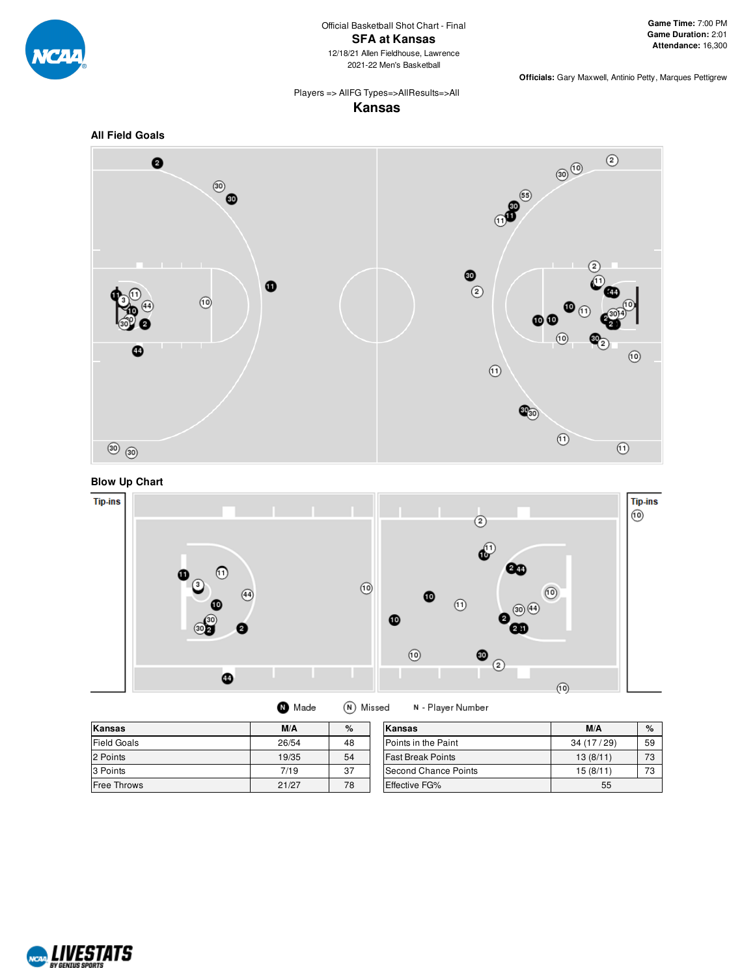

# Players => AllFG Types=>AllResults=>All

**Kansas**







(N) Missed **O** Made

N - Player Number

| Kansas             | M/A   | %  | Kansas                   | M/A       | $\%$     |
|--------------------|-------|----|--------------------------|-----------|----------|
| <b>Field Goals</b> | 26/54 | 48 | Points in the Paint      | 34(17/29) | 59       |
| 2 Points           | 19/35 | 54 | <b>Fast Break Points</b> | 13(8/11)  | 73       |
| 3 Points           | 7/19  | 37 | Second Chance Points     | 15(8/11)  | 70<br>د. |
| <b>Free Throws</b> | 21/27 | 78 | <b>Effective FG%</b>     | 55        |          |

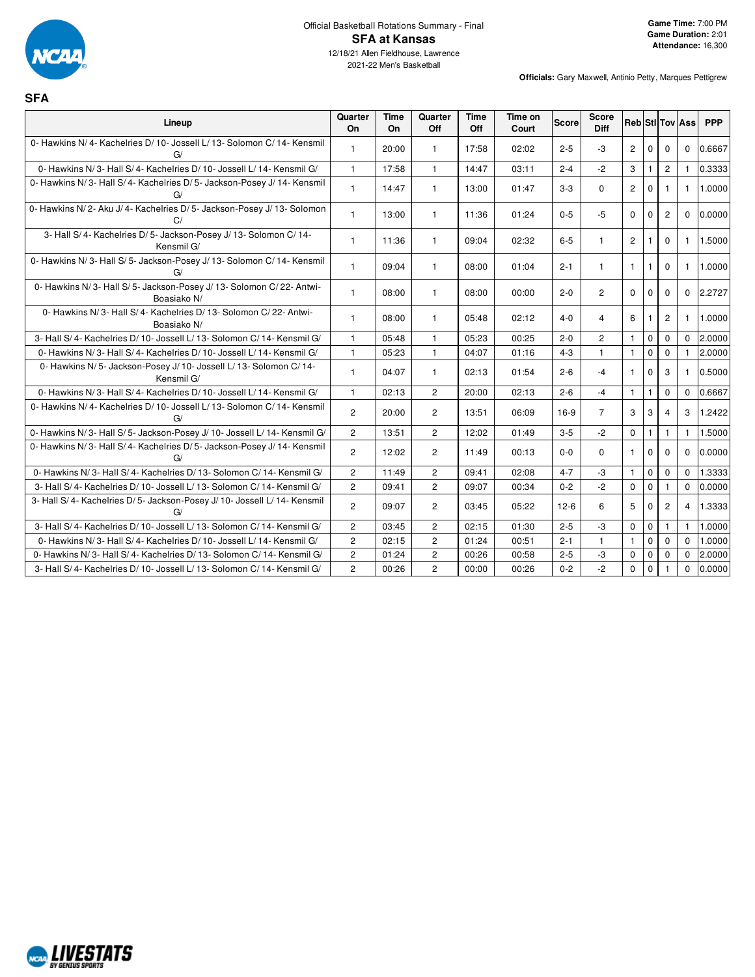

**SFA**

| Lineup                                                                            | Quarter<br><b>On</b> | Time<br><b>On</b> | Quarter<br>Off | <b>Time</b><br>Off | Time on<br>Court | <b>Score</b> | <b>Score</b><br><b>Diff</b> | <b>Reb StilTov Ass</b> |              |                |                | <b>PPP</b> |
|-----------------------------------------------------------------------------------|----------------------|-------------------|----------------|--------------------|------------------|--------------|-----------------------------|------------------------|--------------|----------------|----------------|------------|
| 0- Hawkins N/4- Kachelries D/10- Jossell L/13- Solomon C/14- Kensmil<br>G/        | $\mathbf{1}$         | 20:00             | $\mathbf{1}$   | 17:58              | 02:02            | $2 - 5$      | $-3$                        | $\mathbf{2}^{\prime}$  | $\mathbf 0$  | $\Omega$       | $\mathbf 0$    | 0.6667     |
| 0- Hawkins N/3- Hall S/4- Kachelries D/10- Jossell L/14- Kensmil G/               | $\mathbf{1}$         | 17:58             | $\mathbf{1}$   | 14:47              | 03:11            | $2 - 4$      | $-2$                        | 3                      | $\mathbf{1}$ | $\overline{2}$ | $\mathbf{1}$   | 0.3333     |
| 0- Hawkins N/3- Hall S/4- Kachelries D/5- Jackson-Posey J/14- Kensmil<br>G/       | $\mathbf{1}$         | 14:47             | $\mathbf{1}$   | 13:00              | 01:47            | $3 - 3$      | $\mathbf 0$                 | 2                      | $\mathbf 0$  | $\mathbf{1}$   | $\mathbf{1}$   | 1.0000     |
| 0- Hawkins N/2- Aku J/4- Kachelries D/5- Jackson-Posey J/13- Solomon<br>C/        | $\mathbf{1}$         | 13:00             | $\mathbf{1}$   | 11:36              | 01:24            | $0 - 5$      | $-5$                        | $\mathbf 0$            | $\mathbf 0$  | $\overline{2}$ | 0              | 0.0000     |
| 3- Hall S/4- Kachelries D/5- Jackson-Posey J/13- Solomon C/14-<br>Kensmil G/      | $\mathbf{1}$         | 11:36             | $\mathbf{1}$   | 09:04              | 02:32            | $6 - 5$      | $\mathbf{1}$                | $\overline{2}$         | $\mathbf{1}$ | $\Omega$       | $\mathbf{1}$   | 1.5000     |
| 0- Hawkins N/3- Hall S/5- Jackson-Posey J/13- Solomon C/14- Kensmil<br>G/         | $\mathbf{1}$         | 09:04             | $\mathbf{1}$   | 08:00              | 01:04            | $2 - 1$      | $\mathbf{1}$                | $\mathbf{1}$           | $\mathbf{1}$ | $\Omega$       | $\mathbf{1}$   | 1.0000     |
| 0- Hawkins N/3- Hall S/5- Jackson-Posey J/13- Solomon C/22- Antwi-<br>Boasiako N/ | 1                    | 08:00             | $\mathbf{1}$   | 08:00              | 00:00            | $2 - 0$      | $\overline{2}$              | $\Omega$               | $\mathbf 0$  | $\Omega$       | $\Omega$       | 2.2727     |
| 0- Hawkins N/3- Hall S/4- Kachelries D/13- Solomon C/22- Antwi-<br>Boasiako N/    | 1                    | 08:00             | $\mathbf{1}$   | 05:48              | 02:12            | $4 - 0$      | 4                           | 6                      | $\mathbf{1}$ | $\mathbf{2}$   | 1.             | 1.0000     |
| 3- Hall S/4- Kachelries D/10- Jossell L/13- Solomon C/14- Kensmil G/              | $\mathbf{1}$         | 05:48             | $\mathbf{1}$   | 05:23              | 00:25            | $2 - 0$      | $\overline{c}$              | $\mathbf{1}$           | $\mathbf 0$  | $\mathbf 0$    | $\mathbf{0}$   | 2.0000     |
| 0- Hawkins N/3- Hall S/4- Kachelries D/10- Jossell L/14- Kensmil G/               | $\mathbf{1}$         | 05:23             | $\mathbf{1}$   | 04:07              | 01:16            | $4 - 3$      | $\mathbf{1}$                | $\mathbf{1}$           | $\mathbf 0$  | $\mathbf 0$    | $\mathbf{1}$   | 2.0000     |
| 0- Hawkins N/5- Jackson-Posey J/10- Jossell L/13- Solomon C/14-<br>Kensmil G/     | $\mathbf{1}$         | 04:07             | $\mathbf{1}$   | 02:13              | 01:54            | $2 - 6$      | $-4$                        | $\mathbf{1}$           | $\mathbf 0$  | 3              | 1.             | 0.5000     |
| 0- Hawkins N/3- Hall S/4- Kachelries D/10- Jossell L/14- Kensmil G/               | $\mathbf{1}$         | 02:13             | $\overline{2}$ | 20:00              | 02:13            | $2 - 6$      | $-4$                        | $\mathbf{1}$           | $\mathbf{1}$ | $\mathbf 0$    | $\mathbf 0$    | 0.6667     |
| 0- Hawkins N/4- Kachelries D/10- Jossell L/13- Solomon C/14- Kensmil<br>G/        | $\overline{2}$       | 20:00             | $\overline{2}$ | 13.51              | 06:09            | 16-9         | $\overline{7}$              | 3                      | 3            | 4              | 3              | 1.2422     |
| 0- Hawkins N/3- Hall S/5- Jackson-Posey J/10- Jossell L/14- Kensmil G/            | $\overline{2}$       | 13:51             | $\overline{2}$ | 12:02              | 01:49            | $3 - 5$      | $-2$                        | $\mathbf 0$            | $\mathbf{1}$ | $\mathbf{1}$   | 1              | 1.5000     |
| 0- Hawkins N/3- Hall S/4- Kachelries D/5- Jackson-Posey J/14- Kensmil<br>G/       | $\overline{2}$       | 12:02             | $\overline{2}$ | 11:49              | 00:13            | $0 - 0$      | $\Omega$                    | $\mathbf{1}$           | $\mathbf 0$  | $\Omega$       | $\Omega$       | 0.0000     |
| 0- Hawkins N/3- Hall S/4- Kachelries D/13- Solomon C/14- Kensmil G/               | $\overline{2}$       | 11:49             | $\overline{2}$ | 09:41              | 02:08            | $4 - 7$      | $-3$                        | $\mathbf{1}$           | $\mathbf 0$  | $\mathbf 0$    | $\Omega$       | 1.3333     |
| 3- Hall S/4- Kachelries D/10- Jossell L/13- Solomon C/14- Kensmil G/              | $\overline{2}$       | 09:41             | $\overline{2}$ | 09:07              | 00:34            | $0 - 2$      | $-2$                        | $\mathbf 0$            | $\pmb{0}$    |                | 0              | 0.0000     |
| 3- Hall S/4- Kachelries D/5- Jackson-Posey J/10- Jossell L/14- Kensmil<br>G/      | $\overline{2}$       | 09:07             | $\overline{2}$ | 03:45              | 05:22            | $12-6$       | 6                           | 5                      | $\mathbf 0$  | $\overline{c}$ | $\overline{4}$ | 1.3333     |
| 3- Hall S/4- Kachelries D/10- Jossell L/13- Solomon C/14- Kensmil G/              | $\overline{2}$       | 03:45             | $\overline{2}$ | 02:15              | 01:30            | $2 - 5$      | $-3$                        | $\mathbf 0$            | $\mathbf 0$  | $\mathbf{1}$   | 1              | 1.0000     |
| 0- Hawkins N/3- Hall S/4- Kachelries D/10- Jossell L/14- Kensmil G/               | $\overline{2}$       | 02:15             | $\overline{2}$ | 01:24              | 00:51            | $2 - 1$      | $\mathbf{1}$                | $\mathbf{1}$           | $\mathbf 0$  | $\mathbf 0$    | $\Omega$       | 1.0000     |
| 0- Hawkins N/3- Hall S/4- Kachelries D/13- Solomon C/14- Kensmil G/               | $\overline{2}$       | 01:24             | $\overline{c}$ | 00:26              | 00:58            | $2 - 5$      | -3                          | 0                      | $\mathbf 0$  | $\mathbf 0$    | 0              | 2.0000     |
| 3- Hall S/4- Kachelries D/10- Jossell L/13- Solomon C/14- Kensmil G/              | $\overline{2}$       | 00:26             | $\overline{c}$ | 00:00              | 00:26            | $0 - 2$      | $-2$                        | $\Omega$               | $\mathbf 0$  |                | $\Omega$       | 0.0000     |

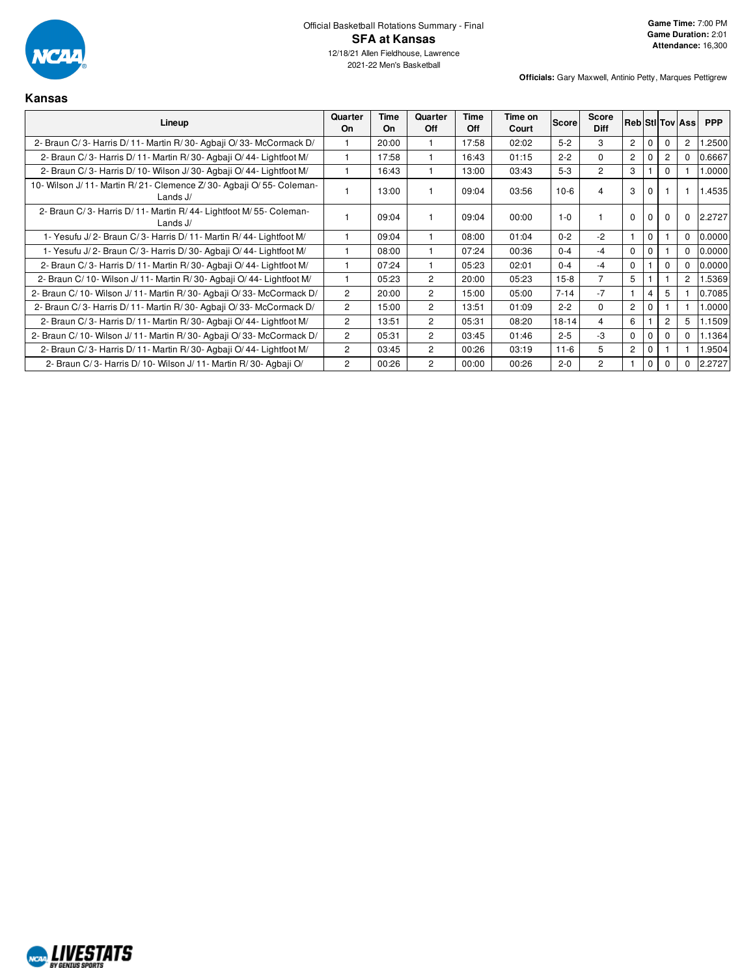

| Kansas                                                                               |                |                   |                |                    |                  |           |                      |                |                |          |                        |            |
|--------------------------------------------------------------------------------------|----------------|-------------------|----------------|--------------------|------------------|-----------|----------------------|----------------|----------------|----------|------------------------|------------|
| Lineup                                                                               | Quarter<br>On  | <b>Time</b><br>On | Quarter<br>Off | Time<br><b>Off</b> | Time on<br>Court | Score     | Score<br><b>Diff</b> |                |                |          | <b>Reb StilTov Ass</b> | <b>PPP</b> |
| 2- Braun C/3- Harris D/11- Martin R/30- Agbaji O/33- McCormack D/                    |                | 20:00             |                | 17:58              | 02:02            | $5 - 2$   | 3                    | $\overline{2}$ | $\Omega$       | $\Omega$ | $\overline{2}$         | .2500      |
| 2- Braun C/3- Harris D/11- Martin R/30- Agbaji O/44- Lightfoot M/                    |                | 17:58             |                | 16:43              | 01:15            | $2 - 2$   | $\Omega$             | $\overline{2}$ | $\mathbf 0$    |          | $\Omega$               | 0.6667     |
| 2- Braun C/3- Harris D/10- Wilson J/30- Agbaii O/44- Lightfoot M/                    |                | 16:43             |                | 13:00              | 03:43            | $5-3$     | $\overline{2}$       | 3              |                | $\Omega$ |                        | 1.0000     |
| 10- Wilson J/ 11- Martin R/ 21- Clemence Z/ 30- Agbaji O/ 55- Coleman-<br>Lands $J/$ |                | 13:00             |                | 09:04              | 03:56            | $10-6$    | 4                    | 3              | $\Omega$       |          |                        | 1.4535     |
| 2- Braun C/3- Harris D/11- Martin R/44- Lightfoot M/55- Coleman-<br>Lands $J/$       |                | 09:04             |                | 09:04              | 00:00            | $1 - 0$   |                      | $\Omega$       | $\Omega$       | $\Omega$ | $\Omega$               | 2.2727     |
| 1- Yesufu J/2- Braun C/3- Harris D/11- Martin R/44- Lightfoot M/                     |                | 09:04             |                | 08:00              | 01:04            | $0 - 2$   | $-2$                 |                | $\mathbf 0$    |          | $\Omega$               | 0.0000     |
| 1- Yesufu J/2- Braun C/3- Harris D/30- Agbaji O/44- Lightfoot M/                     |                | 08:00             |                | 07:24              | 00:36            | $0 - 4$   | $-4$                 | $\Omega$       | $\Omega$       |          | $\Omega$               | 0.0000     |
| 2- Braun C/3- Harris D/11- Martin R/30- Agbaji O/44- Lightfoot M/                    |                | 07:24             |                | 05:23              | 02:01            | $0 - 4$   | $-4$                 | $\Omega$       |                | $\Omega$ | $\Omega$               | 0.0000     |
| 2- Braun C/ 10- Wilson J/ 11- Martin R/ 30- Agbaii O/ 44- Lightfoot M/               |                | 05:23             | $\overline{2}$ | 20:00              | 05:23            | $15-8$    | $\overline{7}$       | 5              |                |          | $\overline{2}$         | 1.5369     |
| 2- Braun C/10- Wilson J/11- Martin R/30- Agbaji O/33- McCormack D/                   | $\overline{2}$ | 20:00             | 2              | 15:00              | 05:00            | $7 - 14$  | $-7$                 |                | 4              | 5        |                        | 0.7085     |
| 2- Braun C/3- Harris D/11- Martin R/30- Agbaji O/33- McCormack D/                    | $\overline{2}$ | 15:00             | $\overline{2}$ | 13:51              | 01:09            | $2 - 2$   | $\Omega$             | $\overline{2}$ | $\mathbf{0}$   |          |                        | 1.0000     |
| 2- Braun C/3- Harris D/11- Martin R/30- Agbaii O/44- Lightfoot M/                    | $\overline{2}$ | 13:51             | $\overline{2}$ | 05:31              | 08:20            | $18 - 14$ | $\overline{4}$       | 6              |                | 2        | 5                      | 1.1509     |
| 2- Braun C/10- Wilson J/11- Martin R/30- Agbaji O/33- McCormack D/                   | $\overline{2}$ | 05:31             | $\overline{2}$ | 03:45              | 01:46            | $2 - 5$   | -3                   | $\Omega$       | $\mathbf 0$    | $\Omega$ | $\Omega$               | 1.1364     |
| 2- Braun C/3- Harris D/11- Martin R/30- Agbaii O/44- Lightfoot M/                    | $\overline{2}$ | 03:45             | $\overline{2}$ | 00:26              | 03:19            | $11 - 6$  | 5                    | $\overline{2}$ | $\mathbf{0}$   |          |                        | 1.9504     |
| 2- Braun C/3- Harris D/10- Wilson J/11- Martin R/30- Agbaji O/                       | $\overline{c}$ | 00:26             | 2              | 00:00              | 00:26            | $2 - 0$   | $\overline{2}$       |                | $\overline{0}$ | $\Omega$ | $\Omega$               | 2.2727     |

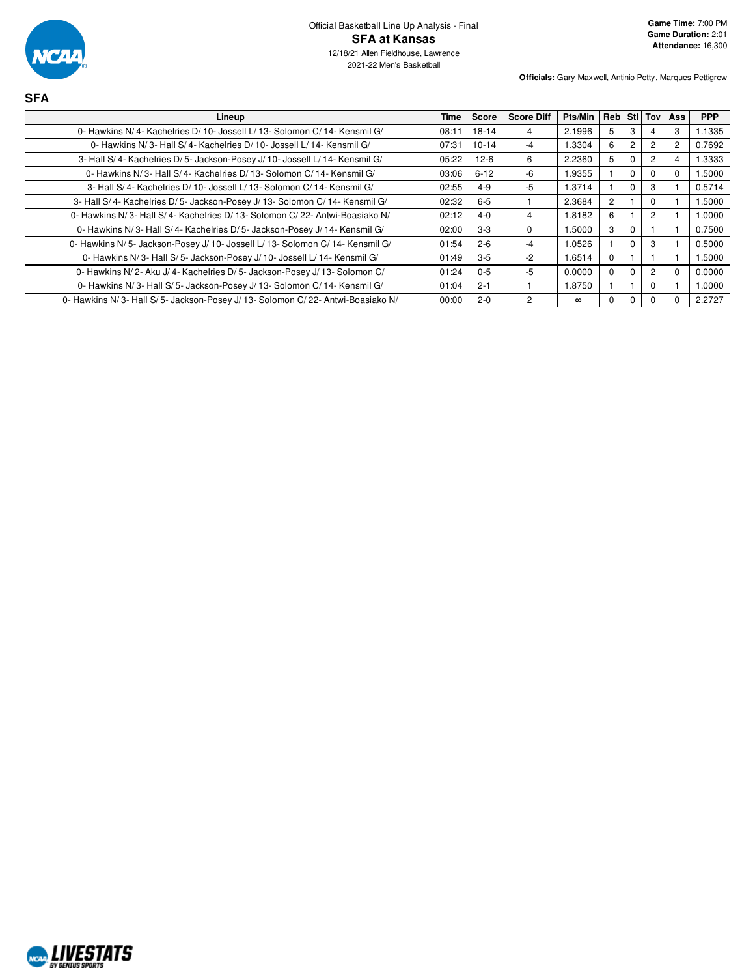

**SFA**

| Lineup                                                                        | Time  | <b>Score</b> | <b>Score Diff</b> | Pts/Min  | <b>Reb Still Toy   Ass</b> |                |                |   | <b>PPP</b> |
|-------------------------------------------------------------------------------|-------|--------------|-------------------|----------|----------------------------|----------------|----------------|---|------------|
| 0- Hawkins N/4- Kachelries D/10- Jossell L/13- Solomon C/14- Kensmil G/       | 08:11 | $18 - 14$    | 4                 | 2.1996   | 5                          | 3              |                | 3 | 1.1335     |
| 0- Hawkins N/3- Hall S/4- Kachelries D/10- Jossell L/14- Kensmil G/           | 07:31 | $10 - 14$    | -4                | 1.3304   | 6                          | $\overline{2}$ | $\overline{2}$ | 2 | 0.7692     |
| 3- Hall S/4- Kachelries D/5- Jackson-Posey J/10- Jossell L/14- Kensmil G/     | 05:22 | $12-6$       | 6                 | 2.2360   | 5                          | $\Omega$       | $\overline{2}$ | 4 | 1.3333     |
| 0- Hawkins N/3- Hall S/4- Kachelries D/13- Solomon C/14- Kensmil G/           | 03:06 | $6 - 12$     | $-6$              | 1.9355   |                            | $\Omega$       |                | 0 | 1.5000     |
| 3- Hall S/4- Kachelries D/10- Jossell L/13- Solomon C/14- Kensmil G/          | 02:55 | $4 - 9$      | -5                | 1.3714   |                            | $\mathbf 0$    | 3              |   | 0.5714     |
| 3- Hall S/4- Kachelries D/5- Jackson-Posey J/13- Solomon C/14- Kensmil G/     | 02:32 | $6-5$        |                   | 2.3684   | $\overline{2}$             |                | $\Omega$       |   | 1.5000     |
| 0- Hawkins N/3- Hall S/4- Kachelries D/13- Solomon C/22- Antwi-Boasiako N/    | 02:12 | $4 - 0$      | 4                 | 1.8182   | 6                          |                | $\overline{2}$ |   | 1.0000     |
| 0- Hawkins N/3- Hall S/4- Kachelries D/5- Jackson-Posey J/14- Kensmil G/      | 02:00 | $3-3$        | 0                 | .5000    | 3                          | $\Omega$       |                |   | 0.7500     |
| 0- Hawkins N/5- Jackson-Posey J/10- Jossell L/13- Solomon C/14- Kensmil G/    | 01:54 | $2 - 6$      | -4                | 1.0526   |                            | $\Omega$       | 3              |   | 0.5000     |
| 0- Hawkins N/3- Hall S/5- Jackson-Posey J/10- Jossell L/14- Kensmil G/        | 01:49 | $3-5$        | $-2$              | 1.6514   | $\Omega$                   |                |                |   | 1.5000     |
| 0- Hawkins N/2- Aku J/4- Kachelries D/5- Jackson-Posey J/13- Solomon C/       | 01:24 | $0 - 5$      | -5                | 0.0000   | $\Omega$                   | $\Omega$       | $\overline{c}$ | 0 | 0.0000     |
| 0- Hawkins N/3- Hall S/5- Jackson-Posey J/13- Solomon C/14- Kensmil G/        | 01:04 | $2 - 1$      |                   | 1.8750   |                            |                | $\Omega$       |   | 1.0000     |
| 0- Hawkins N/3- Hall S/5- Jackson-Posey J/13- Solomon C/22- Antwi-Boasiako N/ | 00:00 | $2 - 0$      | 2                 | $\infty$ | $\Omega$                   | $\Omega$       |                |   | 2.2727     |